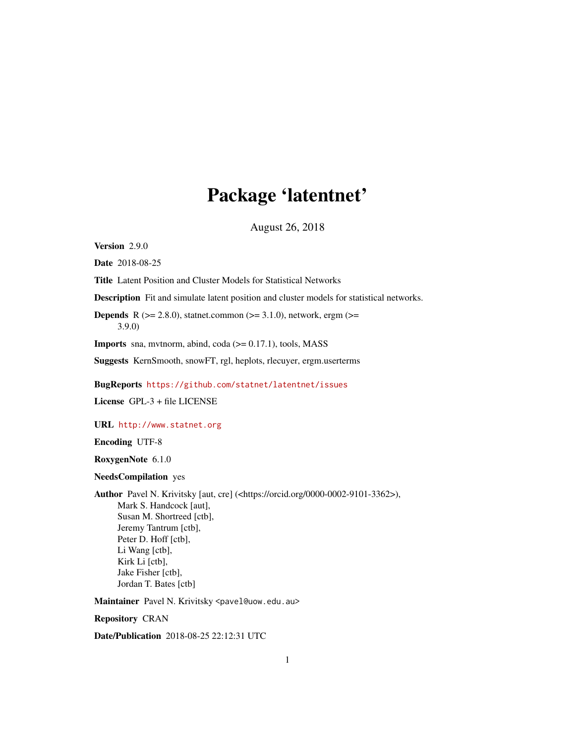# Package 'latentnet'

August 26, 2018

<span id="page-0-0"></span>Version 2.9.0

Date 2018-08-25

Title Latent Position and Cluster Models for Statistical Networks

Description Fit and simulate latent position and cluster models for statistical networks.

**Depends** R ( $>= 2.8.0$ ), statnet.common ( $>= 3.1.0$ ), network, ergm ( $>=$ 3.9.0)

**Imports** sna, mvtnorm, abind, coda  $(>= 0.17.1)$ , tools, MASS

Suggests KernSmooth, snowFT, rgl, heplots, rlecuyer, ergm.userterms

BugReports <https://github.com/statnet/latentnet/issues>

License GPL-3 + file LICENSE

URL <http://www.statnet.org>

Encoding UTF-8

RoxygenNote 6.1.0

NeedsCompilation yes

Author Pavel N. Krivitsky [aut, cre] (<https://orcid.org/0000-0002-9101-3362>), Mark S. Handcock [aut], Susan M. Shortreed [ctb], Jeremy Tantrum [ctb], Peter D. Hoff [ctb], Li Wang [ctb], Kirk Li [ctb], Jake Fisher [ctb], Jordan T. Bates [ctb]

Maintainer Pavel N. Krivitsky <pavel@uow.edu.au>

Repository CRAN

Date/Publication 2018-08-25 22:12:31 UTC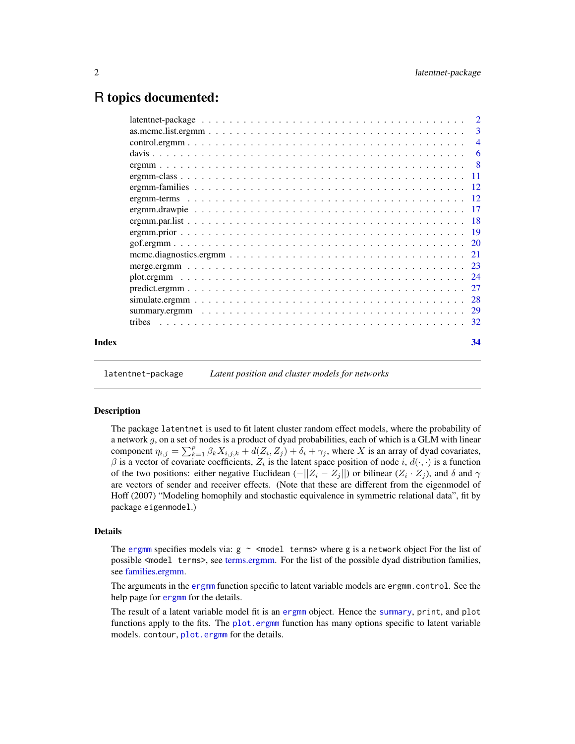# <span id="page-1-0"></span>R topics documented:

|       | $\overline{4}$ |
|-------|----------------|
|       | -6             |
|       |                |
|       |                |
|       |                |
|       |                |
|       |                |
|       |                |
|       |                |
|       |                |
|       |                |
|       |                |
|       |                |
|       |                |
|       |                |
|       |                |
|       |                |
| Index | 34             |
|       |                |

latentnet-package *Latent position and cluster models for networks*

#### <span id="page-1-1"></span>**Description**

The package latentnet is used to fit latent cluster random effect models, where the probability of a network  $g$ , on a set of nodes is a product of dyad probabilities, each of which is a GLM with linear component  $\eta_{i,j} = \sum_{k=1}^p \beta_k X_{i,j,k} + d(Z_i, Z_j) + \delta_i + \gamma_j$ , where X is an array of dyad covariates,  $\beta$  is a vector of covariate coefficients,  $Z_i$  is the latent space position of node i,  $d(\cdot, \cdot)$  is a function of the two positions: either negative Euclidean  $(-||Z_i - Z_j||)$  or bilinear  $(Z_i \cdot Z_j)$ , and  $\delta$  and  $\gamma$ are vectors of sender and receiver effects. (Note that these are different from the eigenmodel of Hoff (2007) "Modeling homophily and stochastic equivalence in symmetric relational data", fit by package eigenmodel.)

# Details

The [ergmm](#page-7-1) specifies models via:  $g \sim$  <model terms> where g is a network object For the list of possible <model terms>, see [terms.ergmm.](#page-11-1) For the list of the possible dyad distribution families, see [families.ergmm.](#page-11-2)

The arguments in the [ergmm](#page-7-1) function specific to latent variable models are ergmm.control. See the help page for [ergmm](#page-7-1) for the details.

The result of a latent variable model fit is an [ergmm](#page-7-1) object. Hence the [summary](#page-0-0), print, and plot functions apply to the fits. The [plot.ergmm](#page-23-1) function has many options specific to latent variable models. contour, [plot.ergmm](#page-23-1) for the details.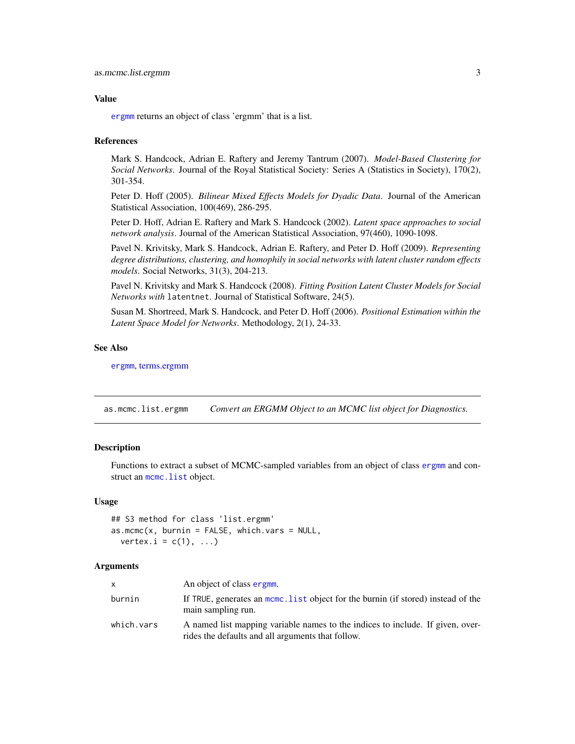#### <span id="page-2-0"></span>Value

[ergmm](#page-7-1) returns an object of class 'ergmm' that is a list.

#### References

Mark S. Handcock, Adrian E. Raftery and Jeremy Tantrum (2007). *Model-Based Clustering for Social Networks*. Journal of the Royal Statistical Society: Series A (Statistics in Society), 170(2), 301-354.

Peter D. Hoff (2005). *Bilinear Mixed Effects Models for Dyadic Data*. Journal of the American Statistical Association, 100(469), 286-295.

Peter D. Hoff, Adrian E. Raftery and Mark S. Handcock (2002). *Latent space approaches to social network analysis*. Journal of the American Statistical Association, 97(460), 1090-1098.

Pavel N. Krivitsky, Mark S. Handcock, Adrian E. Raftery, and Peter D. Hoff (2009). *Representing degree distributions, clustering, and homophily in social networks with latent cluster random effects models*. Social Networks, 31(3), 204-213.

Pavel N. Krivitsky and Mark S. Handcock (2008). *Fitting Position Latent Cluster Models for Social Networks with* latentnet. Journal of Statistical Software, 24(5).

Susan M. Shortreed, Mark S. Handcock, and Peter D. Hoff (2006). *Positional Estimation within the Latent Space Model for Networks*. Methodology, 2(1), 24-33.

#### See Also

[ergmm](#page-7-1), [terms.ergmm](#page-11-1)

<span id="page-2-1"></span>as.mcmc.list.ergmm *Convert an ERGMM Object to an MCMC list object for Diagnostics.*

# Description

Functions to extract a subset of MCMC-sampled variables from an object of class [ergmm](#page-10-1) and construct an [mcmc.list](#page-0-0) object.

#### Usage

```
## S3 method for class 'list.ergmm'
as.mcmc(x, burnin = FALSE, whichvars = NULL,vertex.i = c(1), \ldots)
```
#### Arguments

| X          | An object of class ergmm.                                                                                                           |
|------------|-------------------------------------------------------------------------------------------------------------------------------------|
| burnin     | If TRUE, generates an mome, list object for the burnin (if stored) instead of the<br>main sampling run.                             |
| which.vars | A named list mapping variable names to the indices to include. If given, over-<br>rides the defaults and all arguments that follow. |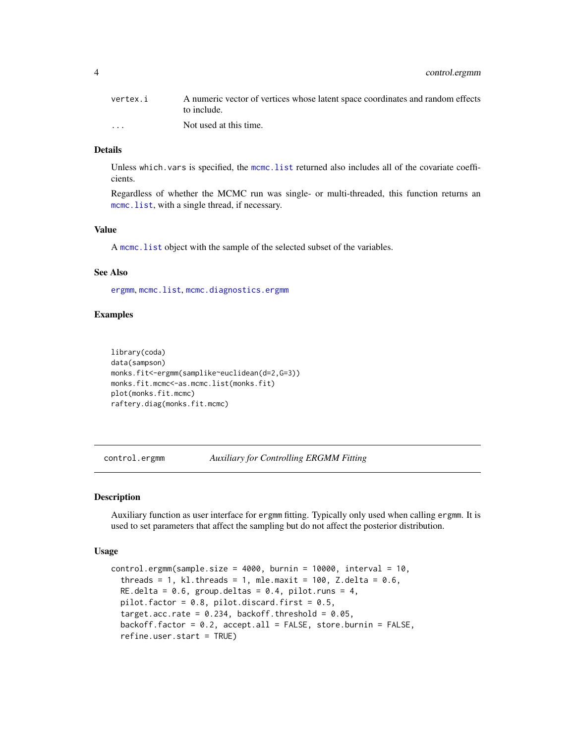<span id="page-3-0"></span>

| vertex.i                | A numeric vector of vertices whose latent space coordinates and random effects<br>to include. |
|-------------------------|-----------------------------------------------------------------------------------------------|
| $\cdot$ $\cdot$ $\cdot$ | Not used at this time.                                                                        |

# Details

Unless which. vars is specified, the mcmc. list returned also includes all of the covariate coefficients.

Regardless of whether the MCMC run was single- or multi-threaded, this function returns an [mcmc.list](#page-0-0), with a single thread, if necessary.

#### Value

A [mcmc.list](#page-0-0) object with the sample of the selected subset of the variables.

#### See Also

[ergmm](#page-7-1), [mcmc.list](#page-0-0), [mcmc.diagnostics.ergmm](#page-20-1)

#### Examples

```
library(coda)
data(sampson)
monks.fit<-ergmm(samplike~euclidean(d=2,G=3))
monks.fit.mcmc<-as.mcmc.list(monks.fit)
plot(monks.fit.mcmc)
raftery.diag(monks.fit.mcmc)
```
<span id="page-3-1"></span>control.ergmm *Auxiliary for Controlling ERGMM Fitting*

#### Description

Auxiliary function as user interface for ergmm fitting. Typically only used when calling ergmm. It is used to set parameters that affect the sampling but do not affect the posterior distribution.

#### Usage

```
control.ergmm(sample.size = 4000, burnin = 10000, interval = 10,threads = 1, kl.threads = 1, mle.maxit = 100, Z.delta = 0.6,
 RE.delta = 0.6, group.deltas = 0.4, pilot.runs = 4,
 pilot.factor = 0.8, pilot.discard.first = 0.5,
  target.acc.rate = 0.234, backoff.threshold = 0.05,
 backoff.factor = 0.2, accept.all = FALSE, store.burnin = FALSE,
  refine.user.start = TRUE)
```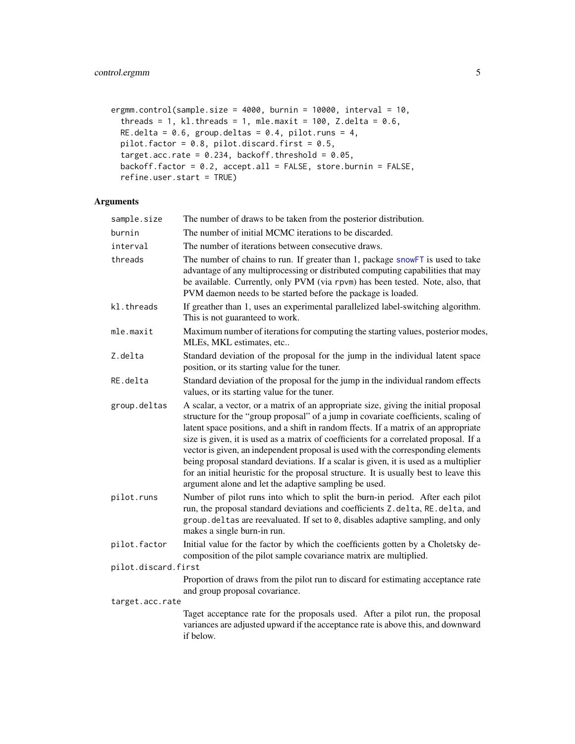```
ergmm.control(sample.size = 4000, burnin = 10000, interval = 10,
  threads = 1, kl.threads = 1, mle.maxit = 100, Z.delta = 0.6,
 RE.delta = 0.6, group.deltas = 0.4, pilot.runs = 4,
 pilot.factor = 0.8, pilot.discard.first = 0.5,
  target.acc.rate = 0.234, backoff.threshold = 0.05,
 backoff.factor = 0.2, accept.all = FALSE, store.burnin = FALSE,
  refine.user.start = TRUE)
```
# Arguments

| sample.size         | The number of draws to be taken from the posterior distribution.                                                                                                                                                                                                                                                                                                                                                                                                                                                                                                                                                                                                                        |  |  |
|---------------------|-----------------------------------------------------------------------------------------------------------------------------------------------------------------------------------------------------------------------------------------------------------------------------------------------------------------------------------------------------------------------------------------------------------------------------------------------------------------------------------------------------------------------------------------------------------------------------------------------------------------------------------------------------------------------------------------|--|--|
| burnin              | The number of initial MCMC iterations to be discarded.                                                                                                                                                                                                                                                                                                                                                                                                                                                                                                                                                                                                                                  |  |  |
| interval            | The number of iterations between consecutive draws.                                                                                                                                                                                                                                                                                                                                                                                                                                                                                                                                                                                                                                     |  |  |
| threads             | The number of chains to run. If greater than 1, package snowFT is used to take<br>advantage of any multiprocessing or distributed computing capabilities that may<br>be available. Currently, only PVM (via rpvm) has been tested. Note, also, that<br>PVM daemon needs to be started before the package is loaded.                                                                                                                                                                                                                                                                                                                                                                     |  |  |
| kl.threads          | If greather than 1, uses an experimental parallelized label-switching algorithm.<br>This is not guaranteed to work.                                                                                                                                                                                                                                                                                                                                                                                                                                                                                                                                                                     |  |  |
| mle.maxit           | Maximum number of iterations for computing the starting values, posterior modes,<br>MLEs, MKL estimates, etc                                                                                                                                                                                                                                                                                                                                                                                                                                                                                                                                                                            |  |  |
| Z.delta             | Standard deviation of the proposal for the jump in the individual latent space<br>position, or its starting value for the tuner.                                                                                                                                                                                                                                                                                                                                                                                                                                                                                                                                                        |  |  |
| RE.delta            | Standard deviation of the proposal for the jump in the individual random effects<br>values, or its starting value for the tuner.                                                                                                                                                                                                                                                                                                                                                                                                                                                                                                                                                        |  |  |
| group.deltas        | A scalar, a vector, or a matrix of an appropriate size, giving the initial proposal<br>structure for the "group proposal" of a jump in covariate coefficients, scaling of<br>latent space positions, and a shift in random ffects. If a matrix of an appropriate<br>size is given, it is used as a matrix of coefficients for a correlated proposal. If a<br>vector is given, an independent proposal is used with the corresponding elements<br>being proposal standard deviations. If a scalar is given, it is used as a multiplier<br>for an initial heuristic for the proposal structure. It is usually best to leave this<br>argument alone and let the adaptive sampling be used. |  |  |
| pilot.runs          | Number of pilot runs into which to split the burn-in period. After each pilot<br>run, the proposal standard deviations and coefficients Z.delta, RE.delta, and<br>group. deltas are reevaluated. If set to 0, disables adaptive sampling, and only<br>makes a single burn-in run.                                                                                                                                                                                                                                                                                                                                                                                                       |  |  |
| pilot.factor        | Initial value for the factor by which the coefficients gotten by a Choletsky de-<br>composition of the pilot sample covariance matrix are multiplied.                                                                                                                                                                                                                                                                                                                                                                                                                                                                                                                                   |  |  |
| pilot.discard.first |                                                                                                                                                                                                                                                                                                                                                                                                                                                                                                                                                                                                                                                                                         |  |  |
|                     | Proportion of draws from the pilot run to discard for estimating acceptance rate<br>and group proposal covariance.                                                                                                                                                                                                                                                                                                                                                                                                                                                                                                                                                                      |  |  |
| target.acc.rate     |                                                                                                                                                                                                                                                                                                                                                                                                                                                                                                                                                                                                                                                                                         |  |  |
|                     | Taget acceptance rate for the proposals used. After a pilot run, the proposal<br>variances are adjusted upward if the acceptance rate is above this, and downward<br>if below.                                                                                                                                                                                                                                                                                                                                                                                                                                                                                                          |  |  |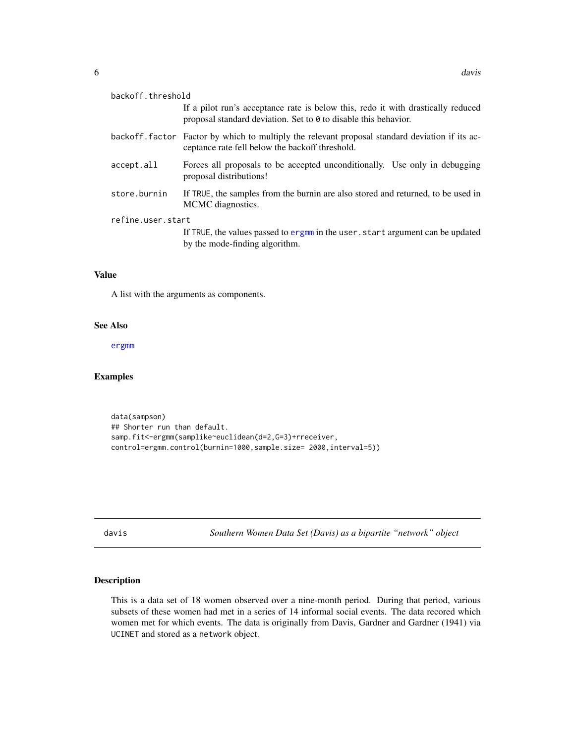<span id="page-5-0"></span>

| backoff.threshold |                                                                                                                                                     |  |
|-------------------|-----------------------------------------------------------------------------------------------------------------------------------------------------|--|
|                   | If a pilot run's acceptance rate is below this, redo it with drastically reduced<br>proposal standard deviation. Set to 0 to disable this behavior. |  |
|                   | backoff factor Factor by which to multiply the relevant proposal standard deviation if its ac-<br>ceptance rate fell below the backoff threshold.   |  |
| accept.all        | Forces all proposals to be accepted unconditionally. Use only in debugging<br>proposal distributions!                                               |  |
| store.burnin      | If TRUE, the samples from the burnin are also stored and returned, to be used in<br>MCMC diagnostics.                                               |  |
| refine.user.start |                                                                                                                                                     |  |
|                   | If TRUE, the values passed to ergmm in the user start argument can be updated<br>by the mode-finding algorithm.                                     |  |

# Value

A list with the arguments as components.

# See Also

[ergmm](#page-7-1)

# Examples

```
data(sampson)
## Shorter run than default.
samp.fit<-ergmm(samplike~euclidean(d=2,G=3)+rreceiver,
control=ergmm.control(burnin=1000,sample.size= 2000,interval=5))
```
davis *Southern Women Data Set (Davis) as a bipartite "network" object*

# Description

This is a data set of 18 women observed over a nine-month period. During that period, various subsets of these women had met in a series of 14 informal social events. The data recored which women met for which events. The data is originally from Davis, Gardner and Gardner (1941) via UCINET and stored as a network object.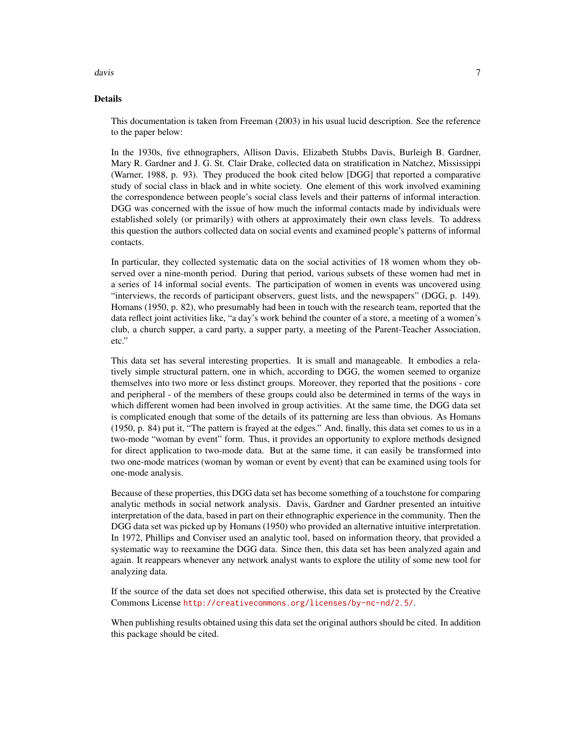#### davis **and a structure of the contract of the contract of the contract of the contract of the contract of the contract of the contract of the contract of the contract of the contract of the contract of the contract of the**

#### Details

This documentation is taken from Freeman (2003) in his usual lucid description. See the reference to the paper below:

In the 1930s, five ethnographers, Allison Davis, Elizabeth Stubbs Davis, Burleigh B. Gardner, Mary R. Gardner and J. G. St. Clair Drake, collected data on stratification in Natchez, Mississippi (Warner, 1988, p. 93). They produced the book cited below [DGG] that reported a comparative study of social class in black and in white society. One element of this work involved examining the correspondence between people's social class levels and their patterns of informal interaction. DGG was concerned with the issue of how much the informal contacts made by individuals were established solely (or primarily) with others at approximately their own class levels. To address this question the authors collected data on social events and examined people's patterns of informal contacts.

In particular, they collected systematic data on the social activities of 18 women whom they observed over a nine-month period. During that period, various subsets of these women had met in a series of 14 informal social events. The participation of women in events was uncovered using "interviews, the records of participant observers, guest lists, and the newspapers" (DGG, p. 149). Homans (1950, p. 82), who presumably had been in touch with the research team, reported that the data reflect joint activities like, "a day's work behind the counter of a store, a meeting of a women's club, a church supper, a card party, a supper party, a meeting of the Parent-Teacher Association, etc."

This data set has several interesting properties. It is small and manageable. It embodies a relatively simple structural pattern, one in which, according to DGG, the women seemed to organize themselves into two more or less distinct groups. Moreover, they reported that the positions - core and peripheral - of the members of these groups could also be determined in terms of the ways in which different women had been involved in group activities. At the same time, the DGG data set is complicated enough that some of the details of its patterning are less than obvious. As Homans (1950, p. 84) put it, "The pattern is frayed at the edges." And, finally, this data set comes to us in a two-mode "woman by event" form. Thus, it provides an opportunity to explore methods designed for direct application to two-mode data. But at the same time, it can easily be transformed into two one-mode matrices (woman by woman or event by event) that can be examined using tools for one-mode analysis.

Because of these properties, this DGG data set has become something of a touchstone for comparing analytic methods in social network analysis. Davis, Gardner and Gardner presented an intuitive interpretation of the data, based in part on their ethnographic experience in the community. Then the DGG data set was picked up by Homans (1950) who provided an alternative intuitive interpretation. In 1972, Phillips and Conviser used an analytic tool, based on information theory, that provided a systematic way to reexamine the DGG data. Since then, this data set has been analyzed again and again. It reappears whenever any network analyst wants to explore the utility of some new tool for analyzing data.

If the source of the data set does not specified otherwise, this data set is protected by the Creative Commons License <http://creativecommons.org/licenses/by-nc-nd/2.5/>.

When publishing results obtained using this data set the original authors should be cited. In addition this package should be cited.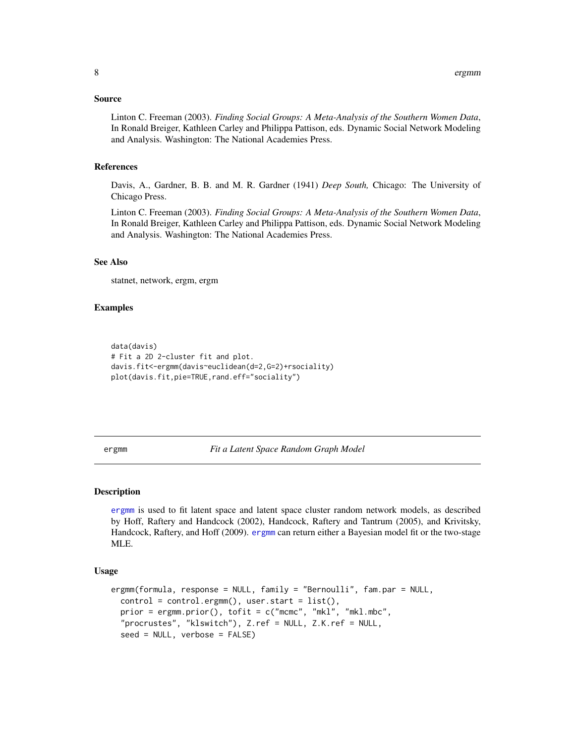#### <span id="page-7-0"></span>Source

Linton C. Freeman (2003). *Finding Social Groups: A Meta-Analysis of the Southern Women Data*, In Ronald Breiger, Kathleen Carley and Philippa Pattison, eds. Dynamic Social Network Modeling and Analysis. Washington: The National Academies Press.

# References

Davis, A., Gardner, B. B. and M. R. Gardner (1941) *Deep South,* Chicago: The University of Chicago Press.

Linton C. Freeman (2003). *Finding Social Groups: A Meta-Analysis of the Southern Women Data*, In Ronald Breiger, Kathleen Carley and Philippa Pattison, eds. Dynamic Social Network Modeling and Analysis. Washington: The National Academies Press.

#### See Also

statnet, network, ergm, ergm

#### Examples

```
data(davis)
# Fit a 2D 2-cluster fit and plot.
davis.fit<-ergmm(davis~euclidean(d=2,G=2)+rsociality)
plot(davis.fit,pie=TRUE,rand.eff="sociality")
```
<span id="page-7-1"></span>ergmm *Fit a Latent Space Random Graph Model*

# **Description**

[ergmm](#page-7-1) is used to fit latent space and latent space cluster random network models, as described by Hoff, Raftery and Handcock (2002), Handcock, Raftery and Tantrum (2005), and Krivitsky, Handcock, Raftery, and Hoff (2009). [ergmm](#page-7-1) can return either a Bayesian model fit or the two-stage MLE.

#### Usage

```
ergmm(formula, response = NULL, family = "Bernoulli", fam.par = NULL,
  control = control.ergmm(), user.start = list(),prior = ergmm.prior(), tofit = c("mcmc", "mkl", "mkl.mbc",
  "procrustes", "klswitch"), Z.ref = NULL, Z.K.ref = NULL,
  seed = NULL, verbose = FALSE)
```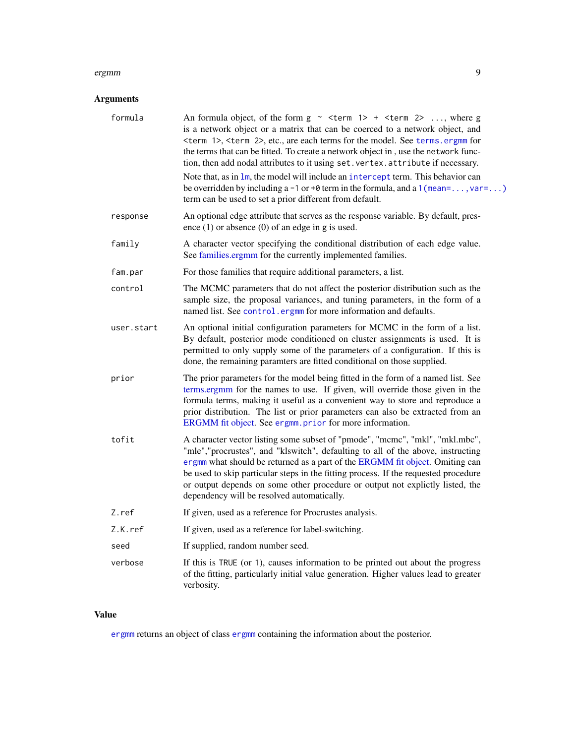#### <span id="page-8-0"></span>ergmm 9

# Arguments

| formula    | An formula object, of the form $g \sim$ <term <math="">1&gt; + <term <math="">2&gt; , where g<br/>is a network object or a matrix that can be coerced to a network object, and<br/><term 1="">, <term 2="">, etc., are each terms for the model. See terms. ergmm for<br/>the terms that can be fitted. To create a network object in, use the network func-<br/>tion, then add nodal attributes to it using set. vertex. attribute if necessary.<br/>Note that, as in <math>\text{lm}</math>, the model will include an intercept term. This behavior can<br/>be overridden by including a -1 or +0 term in the formula, and a <math>1</math> (mean=, var=)<br/>term can be used to set a prior different from default.</term></term></term></term> |  |
|------------|------------------------------------------------------------------------------------------------------------------------------------------------------------------------------------------------------------------------------------------------------------------------------------------------------------------------------------------------------------------------------------------------------------------------------------------------------------------------------------------------------------------------------------------------------------------------------------------------------------------------------------------------------------------------------------------------------------------------------------------------------|--|
| response   | An optional edge attribute that serves as the response variable. By default, pres-<br>ence $(1)$ or absence $(0)$ of an edge in g is used.                                                                                                                                                                                                                                                                                                                                                                                                                                                                                                                                                                                                           |  |
| family     | A character vector specifying the conditional distribution of each edge value.<br>See families.ergmm for the currently implemented families.                                                                                                                                                                                                                                                                                                                                                                                                                                                                                                                                                                                                         |  |
| fam.par    | For those families that require additional parameters, a list.                                                                                                                                                                                                                                                                                                                                                                                                                                                                                                                                                                                                                                                                                       |  |
| control    | The MCMC parameters that do not affect the posterior distribution such as the<br>sample size, the proposal variances, and tuning parameters, in the form of a<br>named list. See control. ergmm for more information and defaults.                                                                                                                                                                                                                                                                                                                                                                                                                                                                                                                   |  |
| user.start | An optional initial configuration parameters for MCMC in the form of a list.<br>By default, posterior mode conditioned on cluster assignments is used. It is<br>permitted to only supply some of the parameters of a configuration. If this is<br>done, the remaining paramters are fitted conditional on those supplied.                                                                                                                                                                                                                                                                                                                                                                                                                            |  |
| prior      | The prior parameters for the model being fitted in the form of a named list. See<br>terms.ergmm for the names to use. If given, will override those given in the<br>formula terms, making it useful as a convenient way to store and reproduce a<br>prior distribution. The list or prior parameters can also be extracted from an<br>ERGMM fit object. See ergmm. prior for more information.                                                                                                                                                                                                                                                                                                                                                       |  |
| tofit      | A character vector listing some subset of "pmode", "mcmc", "mkl", "mkl.mbc",<br>"mle","procrustes", and "klswitch", defaulting to all of the above, instructing<br>ergmm what should be returned as a part of the ERGMM fit object. Omiting can<br>be used to skip particular steps in the fitting process. If the requested procedure<br>or output depends on some other procedure or output not explictly listed, the<br>dependency will be resolved automatically.                                                                                                                                                                                                                                                                                |  |
| Z.ref      | If given, used as a reference for Procrustes analysis.                                                                                                                                                                                                                                                                                                                                                                                                                                                                                                                                                                                                                                                                                               |  |
| Z.K.ref    | If given, used as a reference for label-switching.                                                                                                                                                                                                                                                                                                                                                                                                                                                                                                                                                                                                                                                                                                   |  |
| seed       | If supplied, random number seed.                                                                                                                                                                                                                                                                                                                                                                                                                                                                                                                                                                                                                                                                                                                     |  |
| verbose    | If this is TRUE (or 1), causes information to be printed out about the progress<br>of the fitting, particularly initial value generation. Higher values lead to greater<br>verbosity.                                                                                                                                                                                                                                                                                                                                                                                                                                                                                                                                                                |  |

# Value

[ergmm](#page-7-1) returns an object of class [ergmm](#page-10-1) containing the information about the posterior.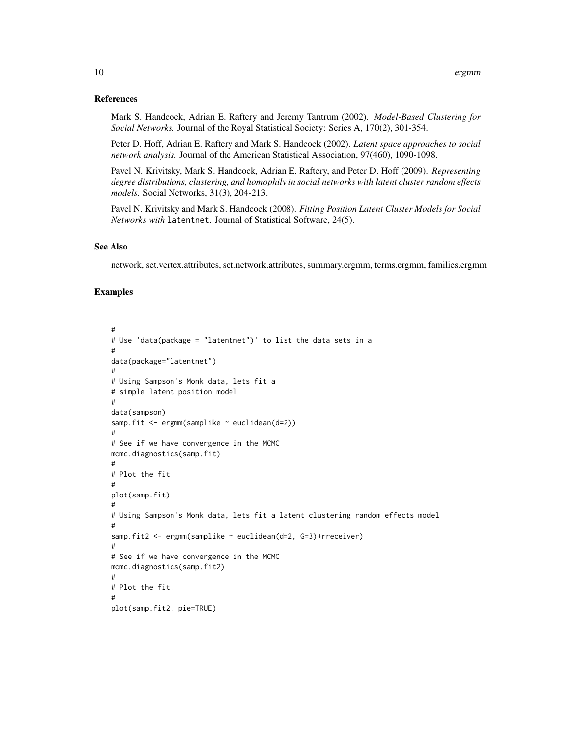#### References

Mark S. Handcock, Adrian E. Raftery and Jeremy Tantrum (2002). *Model-Based Clustering for Social Networks.* Journal of the Royal Statistical Society: Series A, 170(2), 301-354.

Peter D. Hoff, Adrian E. Raftery and Mark S. Handcock (2002). *Latent space approaches to social network analysis.* Journal of the American Statistical Association, 97(460), 1090-1098.

Pavel N. Krivitsky, Mark S. Handcock, Adrian E. Raftery, and Peter D. Hoff (2009). *Representing degree distributions, clustering, and homophily in social networks with latent cluster random effects models*. Social Networks, 31(3), 204-213.

Pavel N. Krivitsky and Mark S. Handcock (2008). *Fitting Position Latent Cluster Models for Social Networks with* latentnet. Journal of Statistical Software, 24(5).

# See Also

network, set.vertex.attributes, set.network.attributes, summary.ergmm, terms.ergmm, families.ergmm

#### Examples

```
#
# Use 'data(package = "latentnet")' to list the data sets in a
#
data(package="latentnet")
#
# Using Sampson's Monk data, lets fit a
# simple latent position model
#
data(sampson)
samp.fit <- ergmm(samplike ~ euclidean(d=2))
#
# See if we have convergence in the MCMC
mcmc.diagnostics(samp.fit)
#
# Plot the fit
#
plot(samp.fit)
#
# Using Sampson's Monk data, lets fit a latent clustering random effects model
#
samp.fit2 <- ergmm(samplike ~ euclidean(d=2, G=3)+rreceiver)
#
# See if we have convergence in the MCMC
mcmc.diagnostics(samp.fit2)
#
# Plot the fit.
#
plot(samp.fit2, pie=TRUE)
```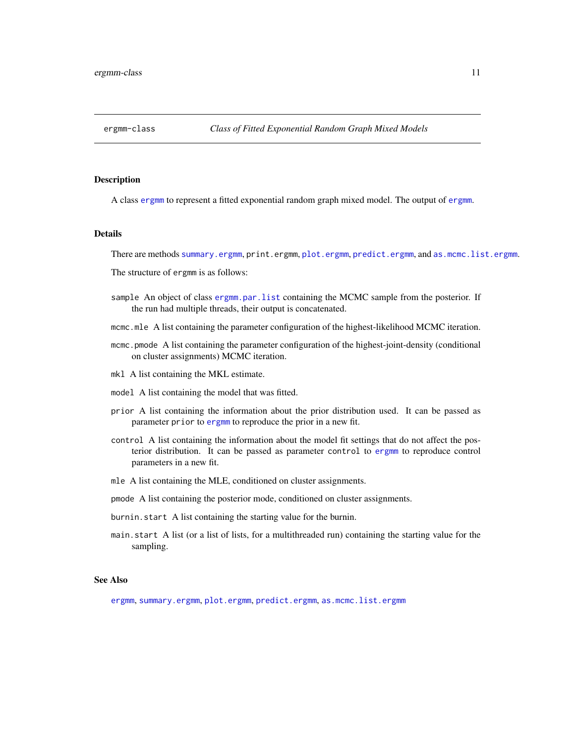<span id="page-10-0"></span>

#### <span id="page-10-1"></span>**Description**

A class [ergmm](#page-10-1) to represent a fitted exponential random graph mixed model. The output of [ergmm](#page-7-1).

#### Details

There are methods [summary.ergmm](#page-28-1), print.ergmm, [plot.ergmm](#page-23-1), [predict.ergmm](#page-26-1), and [as.mcmc.list.ergmm](#page-2-1).

The structure of ergmm is as follows:

- sample An object of class [ergmm.par.list](#page-17-1) containing the MCMC sample from the posterior. If the run had multiple threads, their output is concatenated.
- mcmc.mle A list containing the parameter configuration of the highest-likelihood MCMC iteration.
- mcmc.pmode A list containing the parameter configuration of the highest-joint-density (conditional on cluster assignments) MCMC iteration.
- mkl A list containing the MKL estimate.
- model A list containing the model that was fitted.
- prior A list containing the information about the prior distribution used. It can be passed as parameter prior to [ergmm](#page-7-1) to reproduce the prior in a new fit.
- control A list containing the information about the model fit settings that do not affect the posterior distribution. It can be passed as parameter control to [ergmm](#page-7-1) to reproduce control parameters in a new fit.
- mle A list containing the MLE, conditioned on cluster assignments.
- pmode A list containing the posterior mode, conditioned on cluster assignments.
- burnin.start A list containing the starting value for the burnin.
- main.start A list (or a list of lists, for a multithreaded run) containing the starting value for the sampling.

# See Also

[ergmm](#page-7-1), [summary.ergmm](#page-28-1), [plot.ergmm](#page-23-1), [predict.ergmm](#page-26-1), [as.mcmc.list.ergmm](#page-2-1)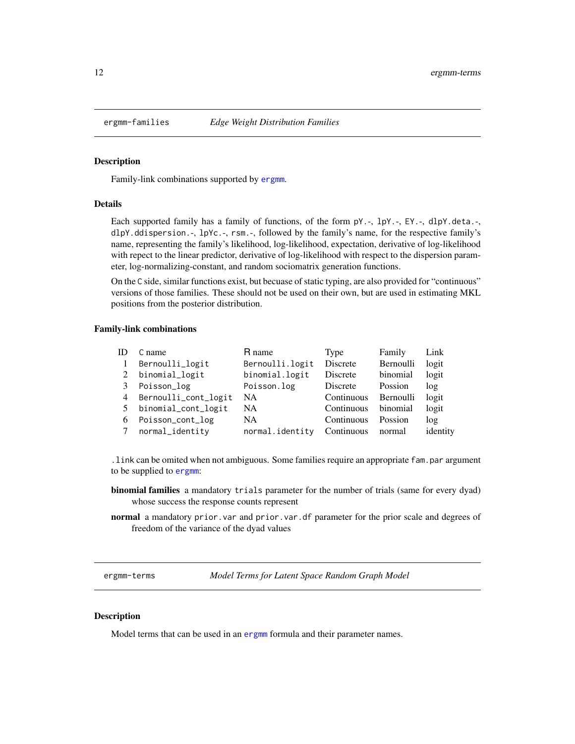<span id="page-11-0"></span>

#### <span id="page-11-2"></span>Description

Family-link combinations supported by [ergmm](#page-7-1).

# Details

Each supported family has a family of functions, of the form pY.-, lpY.-, EY.-, dlpY.deta.-, dlpY.ddispersion.-, lpYc.-, rsm.-, followed by the family's name, for the respective family's name, representing the family's likelihood, log-likelihood, expectation, derivative of log-likelihood with repect to the linear predictor, derivative of log-likelihood with respect to the dispersion parameter, log-normalizing-constant, and random sociomatrix generation functions.

On the C side, similar functions exist, but becuase of static typing, are also provided for "continuous" versions of those families. These should not be used on their own, but are used in estimating MKL positions from the posterior distribution.

#### Family-link combinations

| ID             | C name               | R name          | Type       | Family    | Link     |
|----------------|----------------------|-----------------|------------|-----------|----------|
| $\overline{1}$ | Bernoulli_logit      | Bernoulli.logit | Discrete   | Bernoulli | logit    |
| 2              | binomial_logit       | binomial.logit  | Discrete   | binomial  | logit    |
| 3              | Poisson_log          | Poisson.log     | Discrete   | Possion   | log      |
| 4              | Bernoulli_cont_logit | <b>NA</b>       | Continuous | Bernoulli | logit    |
| 5              | binomial_cont_logit  | NA.             | Continuous | binomial  | logit    |
| 6              | Poisson_cont_log     | <b>NA</b>       | Continuous | Possion   | log      |
| 7              | normal_identity      | normal.identity | Continuous | normal    | identity |

.link can be omited when not ambiguous. Some families require an appropriate fam.par argument to be supplied to [ergmm](#page-7-1):

binomial families a mandatory trials parameter for the number of trials (same for every dyad) whose success the response counts represent

normal a mandatory prior.var and prior.var.df parameter for the prior scale and degrees of freedom of the variance of the dyad values

ergmm-terms *Model Terms for Latent Space Random Graph Model*

# <span id="page-11-1"></span>**Description**

Model terms that can be used in an [ergmm](#page-7-1) formula and their parameter names.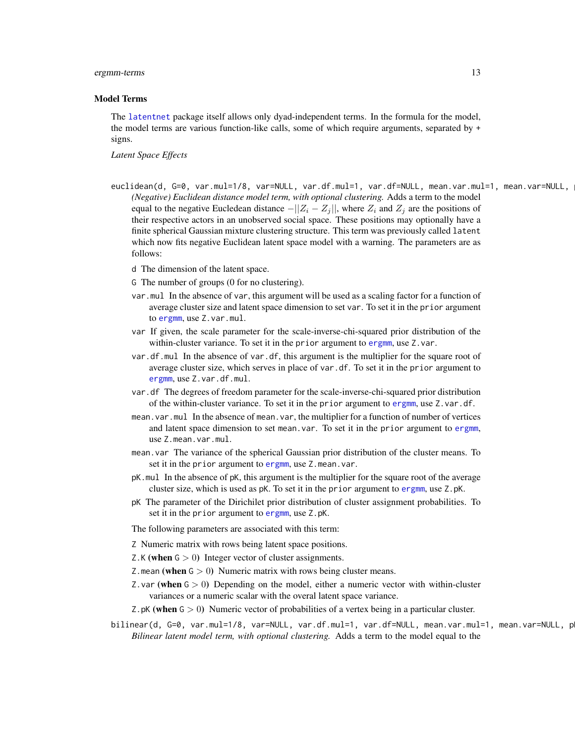#### <span id="page-12-0"></span>ergmm-terms 13

#### Model Terms

The [latentnet](#page-1-1) package itself allows only dyad-independent terms. In the formula for the model, the model terms are various function-like calls, some of which require arguments, separated by + signs.

### *Latent Space Effects*

- euclidean(d, G=0, var.mul=1/8, var=NULL, var.df.mul=1, var.df=NULL, mean.var.mul=1, mean.var=NULL, *(Negative) Euclidean distance model term, with optional clustering.* Adds a term to the model equal to the negative Eucledean distance  $-||Z_i - Z_j||$ , where  $Z_i$  and  $Z_j$  are the positions of their respective actors in an unobserved social space. These positions may optionally have a finite spherical Gaussian mixture clustering structure. This term was previously called latent which now fits negative Euclidean latent space model with a warning. The parameters are as follows:
	- d The dimension of the latent space.
	- G The number of groups (0 for no clustering).
	- var.mul In the absence of var, this argument will be used as a scaling factor for a function of average cluster size and latent space dimension to set var. To set it in the prior argument to [ergmm](#page-7-1), use Z.var.mul.
	- var If given, the scale parameter for the scale-inverse-chi-squared prior distribution of the within-cluster variance. To set it in the prior argument to [ergmm](#page-7-1), use Z.var.
	- var.df.mul In the absence of var.df, this argument is the multiplier for the square root of average cluster size, which serves in place of var.df. To set it in the prior argument to [ergmm](#page-7-1), use Z.var.df.mul.
	- var.df The degrees of freedom parameter for the scale-inverse-chi-squared prior distribution of the within-cluster variance. To set it in the prior argument to [ergmm](#page-7-1), use Z.var.df.
	- mean.var.mul In the absence of mean.var, the multiplier for a function of number of vertices and latent space dimension to set mean.var. To set it in the prior argument to [ergmm](#page-7-1), use Z.mean.var.mul.
	- mean.var The variance of the spherical Gaussian prior distribution of the cluster means. To set it in the prior argument to [ergmm](#page-7-1), use Z.mean.var.
	- pK.mul In the absence of pK, this argument is the multiplier for the square root of the average cluster size, which is used as pK. To set it in the prior argument to [ergmm](#page-7-1), use Z.pK.
	- pK The parameter of the Dirichilet prior distribution of cluster assignment probabilities. To set it in the prior argument to [ergmm](#page-7-1), use Z.pK.
	- The following parameters are associated with this term:
	- Z Numeric matrix with rows being latent space positions.
	- Z.K (when  $G > 0$ ) Integer vector of cluster assignments.
	- Z.mean (when  $G > 0$ ) Numeric matrix with rows being cluster means.
	- Z. var (when  $G > 0$ ) Depending on the model, either a numeric vector with within-cluster variances or a numeric scalar with the overal latent space variance.
	- Z.pK (when  $G > 0$ ) Numeric vector of probabilities of a vertex being in a particular cluster.
- bilinear(d, G=0, var.mul=1/8, var=NULL, var.df.mul=1, var.df=NULL, mean.var.mul=1, mean.var=NULL, p *Bilinear latent model term, with optional clustering.* Adds a term to the model equal to the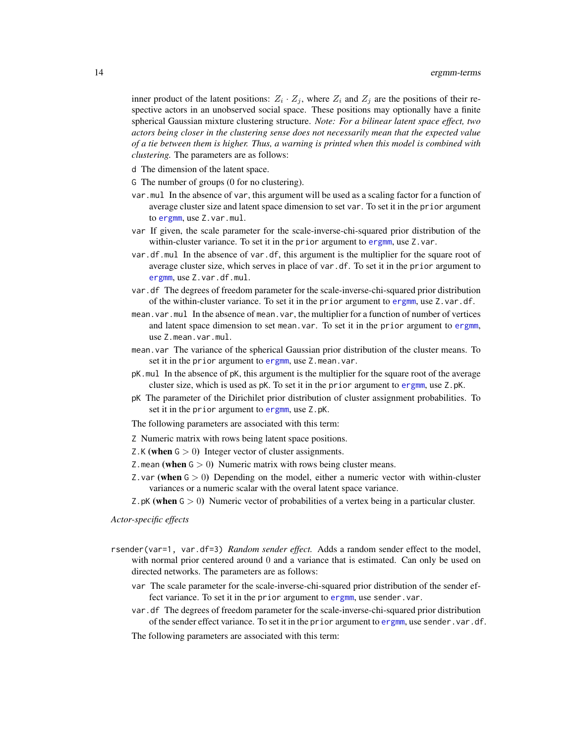inner product of the latent positions:  $Z_i \cdot Z_j$ , where  $Z_i$  and  $Z_j$  are the positions of their respective actors in an unobserved social space. These positions may optionally have a finite spherical Gaussian mixture clustering structure. *Note: For a bilinear latent space effect, two actors being closer in the clustering sense does not necessarily mean that the expected value of a tie between them is higher. Thus, a warning is printed when this model is combined with clustering.* The parameters are as follows:

- d The dimension of the latent space.
- G The number of groups (0 for no clustering).
- var.mul In the absence of var, this argument will be used as a scaling factor for a function of average cluster size and latent space dimension to set var. To set it in the prior argument to [ergmm](#page-7-1), use Z.var.mul.
- var If given, the scale parameter for the scale-inverse-chi-squared prior distribution of the within-cluster variance. To set it in the prior argument to [ergmm](#page-7-1), use Z.var.
- var.df.mul In the absence of var.df, this argument is the multiplier for the square root of average cluster size, which serves in place of var.df. To set it in the prior argument to [ergmm](#page-7-1), use Z.var.df.mul.
- var.df The degrees of freedom parameter for the scale-inverse-chi-squared prior distribution of the within-cluster variance. To set it in the prior argument to [ergmm](#page-7-1), use Z.var.df.
- mean.var.mul In the absence of mean.var, the multiplier for a function of number of vertices and latent space dimension to set mean.var. To set it in the prior argument to [ergmm](#page-7-1), use Z.mean.var.mul.
- mean.var The variance of the spherical Gaussian prior distribution of the cluster means. To set it in the prior argument to [ergmm](#page-7-1), use Z.mean.var.
- pK.mul In the absence of pK, this argument is the multiplier for the square root of the average cluster size, which is used as pK. To set it in the prior argument to [ergmm](#page-7-1), use Z.pK.
- pK The parameter of the Dirichilet prior distribution of cluster assignment probabilities. To set it in the prior argument to [ergmm](#page-7-1), use Z.pK.
- The following parameters are associated with this term:
- Z Numeric matrix with rows being latent space positions.
- Z.K (when  $G > 0$ ) Integer vector of cluster assignments.
- Z.mean (when  $G > 0$ ) Numeric matrix with rows being cluster means.
- Z. var (when  $G > 0$ ) Depending on the model, either a numeric vector with within-cluster variances or a numeric scalar with the overal latent space variance.
- Z.pK (when  $G > 0$ ) Numeric vector of probabilities of a vertex being in a particular cluster.

*Actor-specific effects*

- rsender(var=1, var.df=3) *Random sender effect.* Adds a random sender effect to the model, with normal prior centered around 0 and a variance that is estimated. Can only be used on directed networks. The parameters are as follows:
	- var The scale parameter for the scale-inverse-chi-squared prior distribution of the sender effect variance. To set it in the prior argument to [ergmm](#page-7-1), use sender. var.
	- var.df The degrees of freedom parameter for the scale-inverse-chi-squared prior distribution of the sender effect variance. To set it in the prior argument to [ergmm](#page-7-1), use sender.var.df.

The following parameters are associated with this term: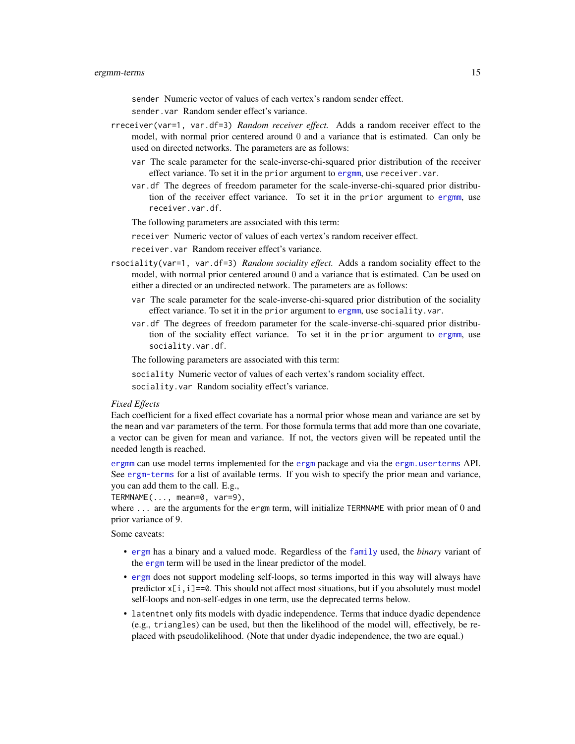<span id="page-14-0"></span>sender Numeric vector of values of each vertex's random sender effect.

sender.var Random sender effect's variance.

- rreceiver(var=1, var.df=3) *Random receiver effect.* Adds a random receiver effect to the model, with normal prior centered around 0 and a variance that is estimated. Can only be used on directed networks. The parameters are as follows:
	- var The scale parameter for the scale-inverse-chi-squared prior distribution of the receiver effect variance. To set it in the prior argument to [ergmm](#page-7-1), use receiver.var.
	- var.df The degrees of freedom parameter for the scale-inverse-chi-squared prior distribution of the receiver effect variance. To set it in the prior argument to [ergmm](#page-7-1), use receiver.var.df.

The following parameters are associated with this term:

receiver Numeric vector of values of each vertex's random receiver effect.

receiver.var Random receiver effect's variance.

- rsociality(var=1, var.df=3) *Random sociality effect.* Adds a random sociality effect to the model, with normal prior centered around 0 and a variance that is estimated. Can be used on either a directed or an undirected network. The parameters are as follows:
	- var The scale parameter for the scale-inverse-chi-squared prior distribution of the sociality effect variance. To set it in the prior argument to [ergmm](#page-7-1), use sociality.var.
	- var.df The degrees of freedom parameter for the scale-inverse-chi-squared prior distribution of the sociality effect variance. To set it in the prior argument to [ergmm](#page-7-1), use sociality.var.df.

The following parameters are associated with this term:

sociality Numeric vector of values of each vertex's random sociality effect.

sociality.var Random sociality effect's variance.

#### *Fixed Effects*

Each coefficient for a fixed effect covariate has a normal prior whose mean and variance are set by the mean and var parameters of the term. For those formula terms that add more than one covariate, a vector can be given for mean and variance. If not, the vectors given will be repeated until the needed length is reached.

[ergmm](#page-7-1) can use model terms implemented for the [ergm](#page-0-0) package and via the [ergm.userterms](#page-0-0) API. See [ergm-terms](#page-0-0) for a list of available terms. If you wish to specify the prior mean and variance, you can add them to the call. E.g.,

TERMNAME(..., mean=0, var=9),

where ... are the arguments for the ergm term, will initialize TERMNAME with prior mean of 0 and prior variance of 9.

Some caveats:

- [ergm](#page-0-0) has a binary and a valued mode. Regardless of the [family](#page-11-2) used, the *binary* variant of the [ergm](#page-0-0) term will be used in the linear predictor of the model.
- [ergm](#page-0-0) does not support modeling self-loops, so terms imported in this way will always have predictor  $x[i, i] == 0$ . This should not affect most situations, but if you absolutely must model self-loops and non-self-edges in one term, use the deprecated terms below.
- latentnet only fits models with dyadic independence. Terms that induce dyadic dependence (e.g., triangles) can be used, but then the likelihood of the model will, effectively, be replaced with pseudolikelihood. (Note that under dyadic independence, the two are equal.)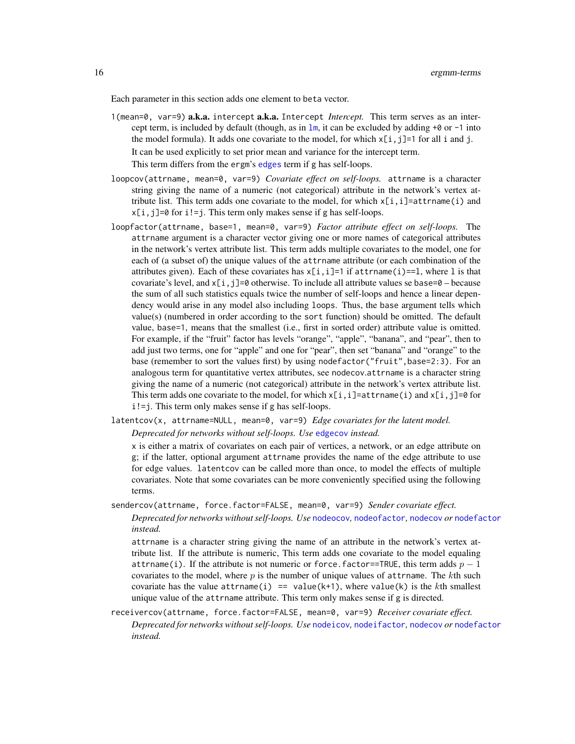<span id="page-15-0"></span>Each parameter in this section adds one element to beta vector.

1(mean=0, var=9) a.k.a. intercept a.k.a. Intercept *Intercept.* This term serves as an intercept term, is included by default (though, as in  $\text{lm}$  $\text{lm}$  $\text{lm}$ , it can be excluded by adding +0 or -1 into the model formula). It adds one covariate to the model, for which  $x[i, j]=1$  for all i and j. It can be used explicitly to set prior mean and variance for the intercept term.

This term differs from the ergm's [edges](#page-0-0) term if g has self-loops.

- loopcov(attrname, mean=0, var=9) *Covariate effect on self-loops.* attrname is a character string giving the name of a numeric (not categorical) attribute in the network's vertex attribute list. This term adds one covariate to the model, for which  $x[i, i]$ =attrname(i) and  $x[i, j]=0$  for  $i!=j$ . This term only makes sense if g has self-loops.
- loopfactor(attrname, base=1, mean=0, var=9) *Factor attribute effect on self-loops.* The attrname argument is a character vector giving one or more names of categorical attributes in the network's vertex attribute list. This term adds multiple covariates to the model, one for each of (a subset of) the unique values of the attrname attribute (or each combination of the attributes given). Each of these covariates has  $x[i, i]=1$  if attrname(i)==1, where 1 is that covariate's level, and  $x[i, j]=0$  otherwise. To include all attribute values se base= $0$  – because the sum of all such statistics equals twice the number of self-loops and hence a linear dependency would arise in any model also including loops. Thus, the base argument tells which  $value(s)$  (numbered in order according to the sort function) should be omitted. The default value, base=1, means that the smallest (i.e., first in sorted order) attribute value is omitted. For example, if the "fruit" factor has levels "orange", "apple", "banana", and "pear", then to add just two terms, one for "apple" and one for "pear", then set "banana" and "orange" to the base (remember to sort the values first) by using nodefactor("fruit",base=2:3). For an analogous term for quantitative vertex attributes, see nodecov.attrname is a character string giving the name of a numeric (not categorical) attribute in the network's vertex attribute list. This term adds one covariate to the model, for which  $x[i, i]=\text{attrname}(i)$  and  $x[i, j]=0$  for i!=j. This term only makes sense if g has self-loops.

latentcov(x, attrname=NULL, mean=0, var=9) *Edge covariates for the latent model.*

*Deprecated for networks without self-loops. Use* [edgecov](#page-0-0) *instead.*

x is either a matrix of covariates on each pair of vertices, a network, or an edge attribute on g; if the latter, optional argument attrname provides the name of the edge attribute to use for edge values. latentcov can be called more than once, to model the effects of multiple covariates. Note that some covariates can be more conveniently specified using the following terms.

sendercov(attrname, force.factor=FALSE, mean=0, var=9) *Sender covariate effect.*

*Deprecated for networks without self-loops. Use* [nodeocov](#page-0-0)*,* [nodeofactor](#page-0-0)*,* [nodecov](#page-0-0) *or* [nodefactor](#page-0-0) *instead.*

attrname is a character string giving the name of an attribute in the network's vertex attribute list. If the attribute is numeric, This term adds one covariate to the model equaling attrname(i). If the attribute is not numeric or force.factor==TRUE, this term adds  $p-1$ covariates to the model, where  $p$  is the number of unique values of attrname. The kth such covariate has the value attrname(i) == value(k+1), where value(k) is the kth smallest unique value of the attrname attribute. This term only makes sense if g is directed.

receivercov(attrname, force.factor=FALSE, mean=0, var=9) *Receiver covariate effect. Deprecated for networks without self-loops. Use* [nodeicov](#page-0-0)*,* [nodeifactor](#page-0-0)*,* [nodecov](#page-0-0) *or* [nodefactor](#page-0-0) *instead.*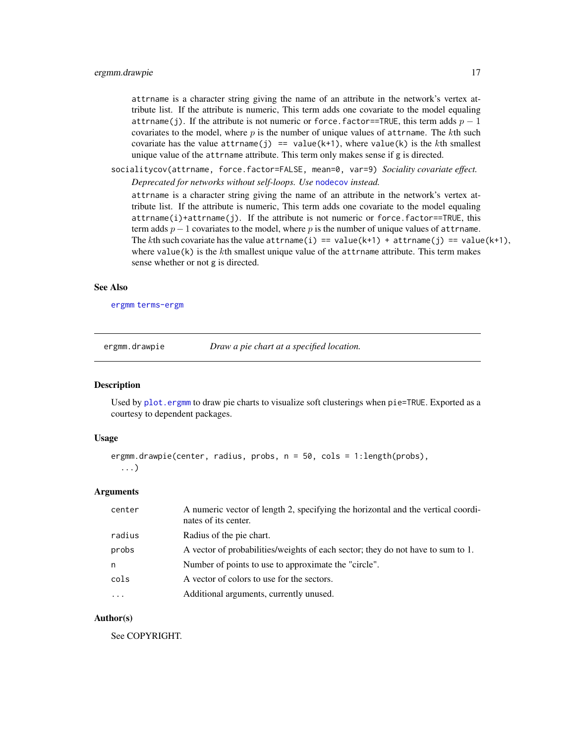<span id="page-16-0"></span>attrname is a character string giving the name of an attribute in the network's vertex attribute list. If the attribute is numeric, This term adds one covariate to the model equaling attrname(j). If the attribute is not numeric or force.factor==TRUE, this term adds  $p-1$ covariates to the model, where  $p$  is the number of unique values of attrname. The kth such covariate has the value attrname(j) == value(k+1), where value(k) is the kth smallest unique value of the attrname attribute. This term only makes sense if g is directed.

socialitycov(attrname, force.factor=FALSE, mean=0, var=9) *Sociality covariate effect. Deprecated for networks without self-loops. Use* [nodecov](#page-0-0) *instead.*

attrname is a character string giving the name of an attribute in the network's vertex attribute list. If the attribute is numeric, This term adds one covariate to the model equaling  $attrname(i)+attrname(j)$ . If the attribute is not numeric or force.factor==TRUE, this term adds  $p-1$  covariates to the model, where p is the number of unique values of attrname. The kth such covariate has the value attrname(i) == value(k+1) + attrname(j) == value(k+1), where value(k) is the kth smallest unique value of the attribute. This term makes sense whether or not g is directed.

#### See Also

[ergmm](#page-7-1) [terms-ergm](#page-0-0)

ergmm.drawpie *Draw a pie chart at a specified location.*

#### Description

Used by [plot.ergmm](#page-23-1) to draw pie charts to visualize soft clusterings when pie=TRUE. Exported as a courtesy to dependent packages.

# Usage

```
ergmm.drawpie(center, radius, probs, n = 50, cols = 1:length(probs),
  ...)
```
#### Arguments

| center    | A numeric vector of length 2, specifying the horizontal and the vertical coordi-<br>nates of its center. |
|-----------|----------------------------------------------------------------------------------------------------------|
| radius    | Radius of the pie chart.                                                                                 |
| probs     | A vector of probabilities/weights of each sector; they do not have to sum to 1.                          |
| n         | Number of points to use to approximate the "circle".                                                     |
| cols      | A vector of colors to use for the sectors.                                                               |
| $\ddotsc$ | Additional arguments, currently unused.                                                                  |

#### Author(s)

See COPYRIGHT.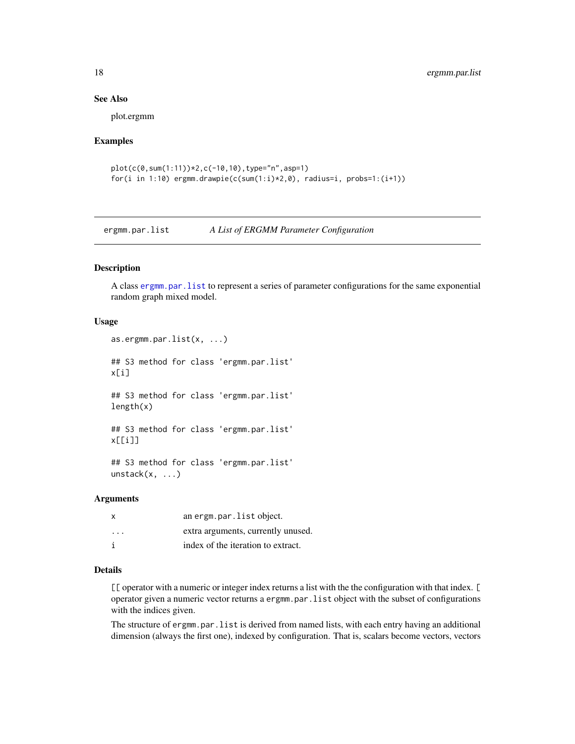# See Also

plot.ergmm

#### Examples

```
plot(c(0,sum(1:11))*2,c(-10,10),type="n",asp=1)
for(i in 1:10) ergmm.drawpie(c(sum(1:i)*2,0), radius=i, probs=1:(i+1))
```
ergmm.par.list *A List of ERGMM Parameter Configuration*

# <span id="page-17-1"></span>Description

A class [ergmm.par.list](#page-17-1) to represent a series of parameter configurations for the same exponential random graph mixed model.

#### Usage

```
as.ergmm.par.list(x, ...)
## S3 method for class 'ergmm.par.list'
x[i]
## S3 method for class 'ergmm.par.list'
length(x)## S3 method for class 'ergmm.par.list'
x[[i]]
## S3 method for class 'ergmm.par.list'
unstack(x, \ldots)
```
#### Arguments

| $\mathsf{x}$            | an ergm.par.list object.           |
|-------------------------|------------------------------------|
| $\cdot$ $\cdot$ $\cdot$ | extra arguments, currently unused. |
|                         | index of the iteration to extract. |

#### Details

[[ operator with a numeric or integer index returns a list with the the configuration with that index. [ operator given a numeric vector returns a ergmm.par.list object with the subset of configurations with the indices given.

The structure of ergmm.par.list is derived from named lists, with each entry having an additional dimension (always the first one), indexed by configuration. That is, scalars become vectors, vectors

<span id="page-17-0"></span>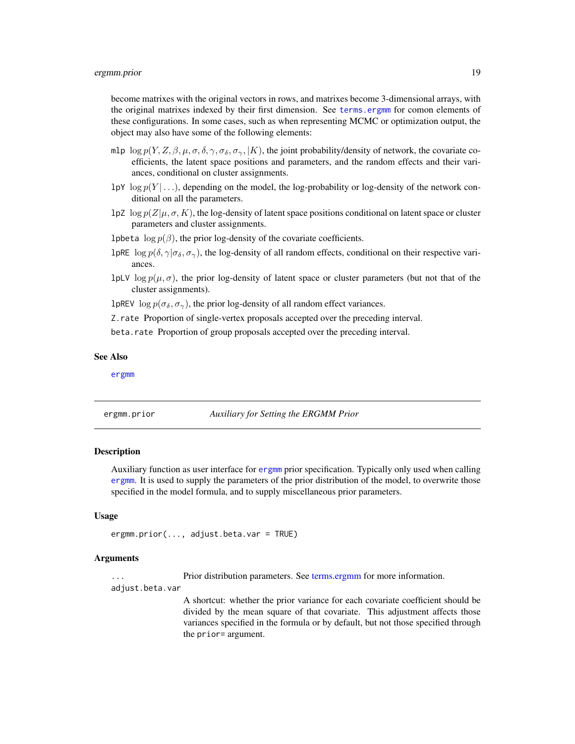<span id="page-18-0"></span>become matrixes with the original vectors in rows, and matrixes become 3-dimensional arrays, with the original matrixes indexed by their first dimension. See [terms.ergmm](#page-11-1) for comon elements of these configurations. In some cases, such as when representing MCMC or optimization output, the object may also have some of the following elements:

- mlp  $\log p(Y, Z, \beta, \mu, \sigma, \delta, \gamma, \sigma_{\delta}, \sigma_{\gamma}, |K)$ , the joint probability/density of network, the covariate coefficients, the latent space positions and parameters, and the random effects and their variances, conditional on cluster assignments.
- lpY  $\log p(Y \mid \ldots)$ , depending on the model, the log-probability or log-density of the network conditional on all the parameters.
- lpZ  $\log p(Z|\mu, \sigma, K)$ , the log-density of latent space positions conditional on latent space or cluster parameters and cluster assignments.
- lpbeta  $\log p(\beta)$ , the prior log-density of the covariate coefficients.
- lpRE  $\log p(\delta, \gamma | \sigma_{\delta}, \sigma_{\gamma})$ , the log-density of all random effects, conditional on their respective variances.
- lpLV log  $p(\mu, \sigma)$ , the prior log-density of latent space or cluster parameters (but not that of the cluster assignments).
- lpREV  $\log p(\sigma_{\delta}, \sigma_{\gamma})$ , the prior log-density of all random effect variances.

Z.rate Proportion of single-vertex proposals accepted over the preceding interval.

beta.rate Proportion of group proposals accepted over the preceding interval.

#### See Also

[ergmm](#page-7-1)

<span id="page-18-1"></span>ergmm.prior *Auxiliary for Setting the ERGMM Prior*

#### **Description**

Auxiliary function as user interface for [ergmm](#page-7-1) prior specification. Typically only used when calling [ergmm](#page-7-1). It is used to supply the parameters of the prior distribution of the model, to overwrite those specified in the model formula, and to supply miscellaneous prior parameters.

# Usage

```
ergmm.prior(..., adjust.beta.var = TRUE)
```
#### Arguments

... Prior distribution parameters. See [terms.ergmm](#page-11-1) for more information.

adjust.beta.var

A shortcut: whether the prior variance for each covariate coefficient should be divided by the mean square of that covariate. This adjustment affects those variances specified in the formula or by default, but not those specified through the prior= argument.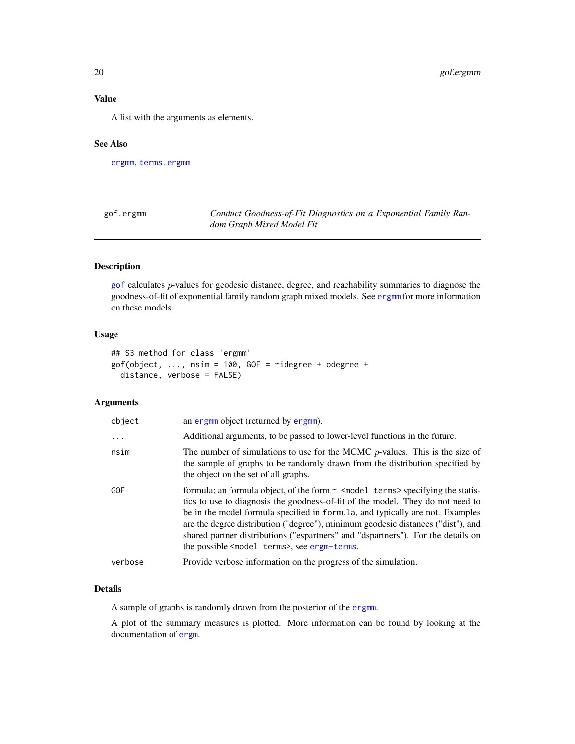# <span id="page-19-0"></span>Value

A list with the arguments as elements.

# See Also

[ergmm](#page-7-1), [terms.ergmm](#page-11-1)

<span id="page-19-2"></span>gof.ergmm *Conduct Goodness-of-Fit Diagnostics on a Exponential Family Random Graph Mixed Model Fit*

# <span id="page-19-1"></span>Description

[gof](#page-19-1) calculates p-values for geodesic distance, degree, and reachability summaries to diagnose the goodness-of-fit of exponential family random graph mixed models. See [ergmm](#page-7-1) for more information on these models.

#### Usage

```
## S3 method for class 'ergmm'
gof(object, \ldots, nsim = 100, GOF = ~idegree + odegree +
  distance, verbose = FALSE)
```
# Arguments

| object     | an ergmm object (returned by ergmm).                                                                                                                                                                                                                                                                                                                                                                                                                                                                     |  |
|------------|----------------------------------------------------------------------------------------------------------------------------------------------------------------------------------------------------------------------------------------------------------------------------------------------------------------------------------------------------------------------------------------------------------------------------------------------------------------------------------------------------------|--|
| $\ddots$ . | Additional arguments, to be passed to lower-level functions in the future.                                                                                                                                                                                                                                                                                                                                                                                                                               |  |
| nsim       | The number of simulations to use for the MCMC $p$ -values. This is the size of<br>the sample of graphs to be randomly drawn from the distribution specified by<br>the object on the set of all graphs.                                                                                                                                                                                                                                                                                                   |  |
| <b>GOF</b> | formula; an formula object, of the form $\sim$ <model terms=""> specifying the statis-<br/>tics to use to diagnosis the goodness-of-fit of the model. They do not need to<br/>be in the model formula specified in formula, and typically are not. Examples<br/>are the degree distribution ("degree"), minimum geodesic distances ("dist"), and<br/>shared partner distributions ("espartners" and "dspartners"). For the details on<br/>the possible <model terms="">, see ergm-terms.</model></model> |  |
| verbose    | Provide verbose information on the progress of the simulation.                                                                                                                                                                                                                                                                                                                                                                                                                                           |  |

# Details

A sample of graphs is randomly drawn from the posterior of the [ergmm](#page-7-1).

A plot of the summary measures is plotted. More information can be found by looking at the documentation of [ergm](#page-0-0).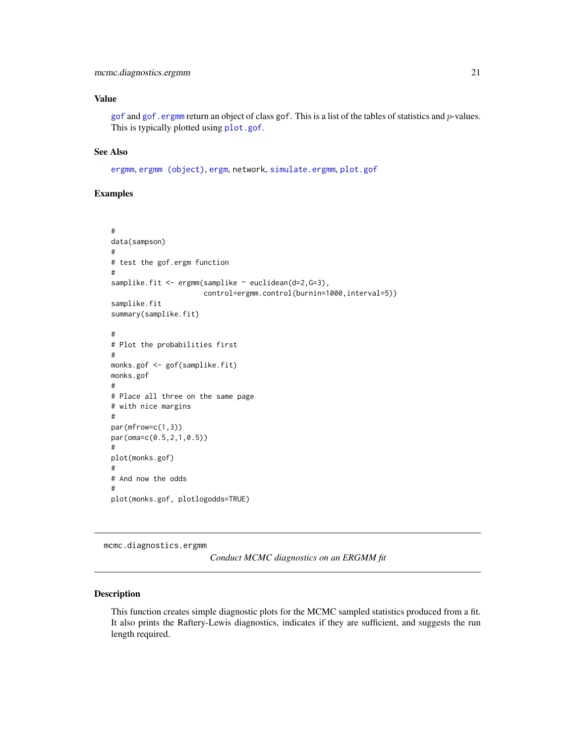# <span id="page-20-0"></span>Value

[gof](#page-19-1) and [gof.ergmm](#page-19-2) return an object of class gof. This is a list of the tables of statistics and  $p$ -values. This is typically plotted using [plot.gof](#page-0-0).

#### See Also

[ergmm](#page-7-1), [ergmm \(object\)](#page-10-1), [ergm](#page-0-0), network, [simulate.ergmm](#page-27-1), [plot.gof](#page-0-0)

# Examples

```
#
data(sampson)
#
# test the gof.ergm function
#
samplike.fit <- ergmm(samplike ~ euclidean(d=2,G=3),
                      control=ergmm.control(burnin=1000,interval=5))
samplike.fit
summary(samplike.fit)
#
# Plot the probabilities first
#
monks.gof <- gof(samplike.fit)
monks.gof
#
# Place all three on the same page
# with nice margins
#
par(mfrow=c(1,3))
par(oma=c(0.5,2,1,0.5))
#
plot(monks.gof)
#
# And now the odds
#
plot(monks.gof, plotlogodds=TRUE)
```
<span id="page-20-1"></span>mcmc.diagnostics.ergmm

*Conduct MCMC diagnostics on an ERGMM fit*

# **Description**

This function creates simple diagnostic plots for the MCMC sampled statistics produced from a fit. It also prints the Raftery-Lewis diagnostics, indicates if they are sufficient, and suggests the run length required.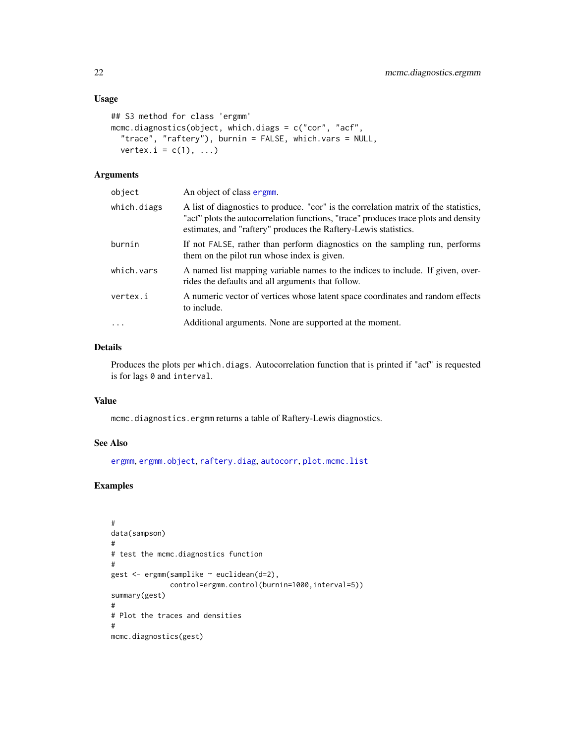# <span id="page-21-0"></span>Usage

```
## S3 method for class 'ergmm'
mcmc.diagnostics(object, which.diags = c("cor", "acf",
  "trace", "raftery"), burnin = FALSE, which.vars = NULL,
  vertex.i = c(1), \ldots)
```
# Arguments

| object      | An object of class ergmm.                                                                                                                                                                                                                      |
|-------------|------------------------------------------------------------------------------------------------------------------------------------------------------------------------------------------------------------------------------------------------|
| which.diags | A list of diagnostics to produce. "cor" is the correlation matrix of the statistics,<br>"acf" plots the autocorrelation functions, "trace" produces trace plots and density<br>estimates, and "raftery" produces the Raftery-Lewis statistics. |
| burnin      | If not FALSE, rather than perform diagnostics on the sampling run, performs<br>them on the pilot run whose index is given.                                                                                                                     |
| which.vars  | A named list mapping variable names to the indices to include. If given, over-<br>rides the defaults and all arguments that follow.                                                                                                            |
| vertex.i    | A numeric vector of vertices whose latent space coordinates and random effects<br>to include.                                                                                                                                                  |
| $\cdot$     | Additional arguments. None are supported at the moment.                                                                                                                                                                                        |

# Details

Produces the plots per which.diags. Autocorrelation function that is printed if "acf" is requested is for lags 0 and interval.

# Value

mcmc.diagnostics.ergmm returns a table of Raftery-Lewis diagnostics.

#### See Also

[ergmm](#page-7-1), [ergmm.object](#page-10-1), [raftery.diag](#page-0-0), [autocorr](#page-0-0), [plot.mcmc.list](#page-0-0)

# Examples

```
#
data(sampson)
#
# test the mcmc.diagnostics function
#
gest <- ergmm(samplike ~ euclidean(d=2),
              control=ergmm.control(burnin=1000,interval=5))
summary(gest)
#
# Plot the traces and densities
#
mcmc.diagnostics(gest)
```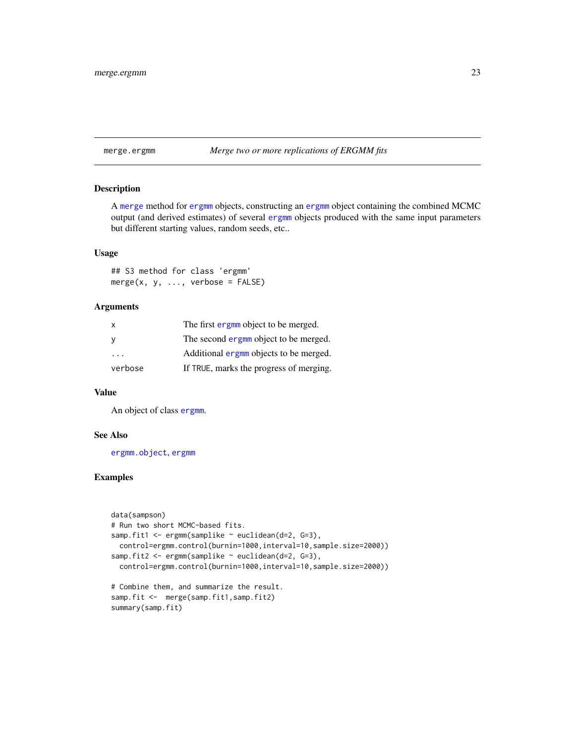<span id="page-22-0"></span>merge.ergmm *Merge two or more replications of ERGMM fits*

# Description

A [merge](#page-0-0) method for [ergmm](#page-10-1) objects, constructing an [ergmm](#page-10-1) object containing the combined MCMC output (and derived estimates) of several [ergmm](#page-10-1) objects produced with the same input parameters but different starting values, random seeds, etc..

# Usage

## S3 method for class 'ergmm'  $merge(x, y, \ldots, verbose = FALSE)$ 

# Arguments

| x                       | The first ergmm object to be merged.    |
|-------------------------|-----------------------------------------|
| У                       | The second ergmm object to be merged.   |
| $\cdot$ $\cdot$ $\cdot$ | Additional ergmm objects to be merged.  |
| verbose                 | If TRUE, marks the progress of merging. |

# Value

An object of class [ergmm](#page-10-1).

# See Also

[ergmm.object](#page-10-1), [ergmm](#page-7-1)

# Examples

```
data(sampson)
# Run two short MCMC-based fits.
samp.fit1 <- ergmm(samplike ~ euclidean(d=2, G=3),
 control=ergmm.control(burnin=1000,interval=10,sample.size=2000))
samp.fit2 <- ergmm(samplike ~ euclidean(d=2, G=3),
 control=ergmm.control(burnin=1000,interval=10,sample.size=2000))
# Combine them, and summarize the result.
samp.fit <- merge(samp.fit1,samp.fit2)
```
summary(samp.fit)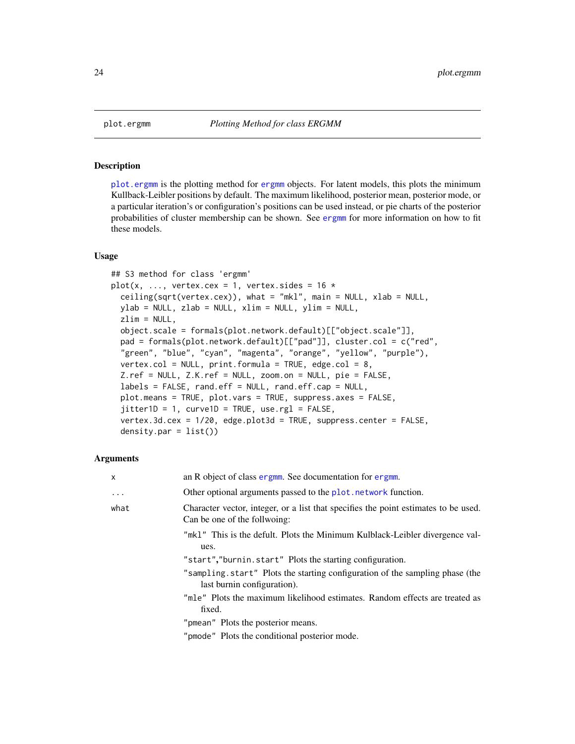#### Description

[plot.ergmm](#page-23-1) is the plotting method for [ergmm](#page-10-1) objects. For latent models, this plots the minimum Kullback-Leibler positions by default. The maximum likelihood, posterior mean, posterior mode, or a particular iteration's or configuration's positions can be used instead, or pie charts of the posterior probabilities of cluster membership can be shown. See [ergmm](#page-7-1) for more information on how to fit these models.

#### Usage

```
## S3 method for class 'ergmm'
plot(x, ..., vertex.cex = 1, vertex. sides = 16 *ceiling(sqrt(vertex.cex)), what = "mkl", main = NULL, xlab = NULL,
 ylab = NULL, zlab = NULL, xlim = NULL, ylim = NULL,
 zlim = NULL,
 object.scale = formals(plot.network.default)[["object.scale"]],
 pad = formals(plot.network.default)[["pad"]], cluster.col = c("red",
  "green", "blue", "cyan", "magenta", "orange", "yellow", "purple"),
  vertex.col = NULL, print.formula = TRUE, edge.col = 8,
  Z.ref = NULL, Z.K.ref = NULL, zoom.on = NULL, pie = FALSE,
  labels = FALSE, rand.eff = NULL, rand.eff.cap = NULL,
 plot.means = TRUE, plot.vars = TRUE, suppress.axes = FALSE,
  jitter1D = 1, curve1D = TRUE, use.rgl = FALSE,
  vertex.3d.cex = 1/20, edge.plot3d = TRUE, suppress.center = FALSE,
  density.par = list()
```
#### Arguments

| X        | an R object of class ergmm. See documentation for ergmm.                                                            |
|----------|---------------------------------------------------------------------------------------------------------------------|
| $\cdots$ | Other optional arguments passed to the plot. network function.                                                      |
| what     | Character vector, integer, or a list that specifies the point estimates to be used.<br>Can be one of the follwoing: |
|          | "mk1" This is the defult. Plots the Minimum Kulblack-Leibler divergence val-<br>ues.                                |
|          | "start","burnin.start" Plots the starting configuration.                                                            |
|          | "sampling start" Plots the starting configuration of the sampling phase (the<br>last burnin configuration).         |
|          | "mle" Plots the maximum likelihood estimates. Random effects are treated as<br>fixed.                               |
|          | "pmean" Plots the posterior means.                                                                                  |
|          | "pmode" Plots the conditional posterior mode.                                                                       |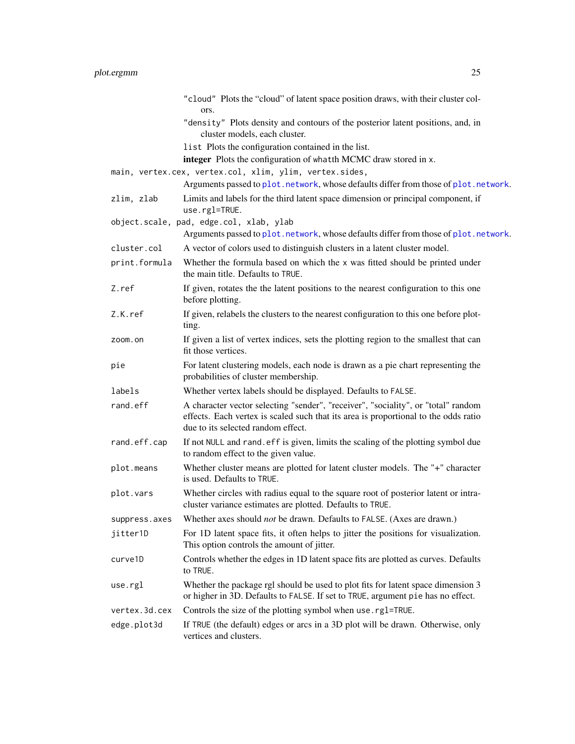|               | "cloud" Plots the "cloud" of latent space position draws, with their cluster col-<br>ors.                                                                                                                      |
|---------------|----------------------------------------------------------------------------------------------------------------------------------------------------------------------------------------------------------------|
|               | "density" Plots density and contours of the posterior latent positions, and, in<br>cluster models, each cluster.                                                                                               |
|               | list Plots the configuration contained in the list.                                                                                                                                                            |
|               | integer Plots the configuration of whatth MCMC draw stored in x.                                                                                                                                               |
|               | main, vertex.cex, vertex.col, xlim, ylim, vertex.sides,                                                                                                                                                        |
|               | Arguments passed to plot. network, whose defaults differ from those of plot. network.                                                                                                                          |
| zlim, zlab    | Limits and labels for the third latent space dimension or principal component, if<br>use.rgl=TRUE.                                                                                                             |
|               | object.scale, pad, edge.col, xlab, ylab<br>Arguments passed to plot.network, whose defaults differ from those of plot.network.                                                                                 |
| cluster.col   | A vector of colors used to distinguish clusters in a latent cluster model.                                                                                                                                     |
| print.formula | Whether the formula based on which the x was fitted should be printed under<br>the main title. Defaults to TRUE.                                                                                               |
| Z.ref         | If given, rotates the the latent positions to the nearest configuration to this one<br>before plotting.                                                                                                        |
| Z.K.ref       | If given, relabels the clusters to the nearest configuration to this one before plot-<br>ting.                                                                                                                 |
| zoom.on       | If given a list of vertex indices, sets the plotting region to the smallest that can<br>fit those vertices.                                                                                                    |
| pie           | For latent clustering models, each node is drawn as a pie chart representing the<br>probabilities of cluster membership.                                                                                       |
| labels        | Whether vertex labels should be displayed. Defaults to FALSE.                                                                                                                                                  |
| rand.eff      | A character vector selecting "sender", "receiver", "sociality", or "total" random<br>effects. Each vertex is scaled such that its area is proportional to the odds ratio<br>due to its selected random effect. |
| rand.eff.cap  | If not NULL and rand. eff is given, limits the scaling of the plotting symbol due<br>to random effect to the given value.                                                                                      |
| plot.means    | Whether cluster means are plotted for latent cluster models. The "+" character<br>is used. Defaults to TRUE.                                                                                                   |
| plot.vars     | Whether circles with radius equal to the square root of posterior latent or intra-<br>cluster variance estimates are plotted. Defaults to TRUE.                                                                |
| suppress.axes | Whether axes should <i>not</i> be drawn. Defaults to FALSE. (Axes are drawn.)                                                                                                                                  |
| jitter1D      | For 1D latent space fits, it often helps to jitter the positions for visualization.<br>This option controls the amount of jitter.                                                                              |
| curve1D       | Controls whether the edges in 1D latent space fits are plotted as curves. Defaults<br>to TRUE.                                                                                                                 |
| use.rgl       | Whether the package rgl should be used to plot fits for latent space dimension 3<br>or higher in 3D. Defaults to FALSE. If set to TRUE, argument pie has no effect.                                            |
| vertex.3d.cex | Controls the size of the plotting symbol when use . rg1=TRUE.                                                                                                                                                  |
| edge.plot3d   | If TRUE (the default) edges or arcs in a 3D plot will be drawn. Otherwise, only<br>vertices and clusters.                                                                                                      |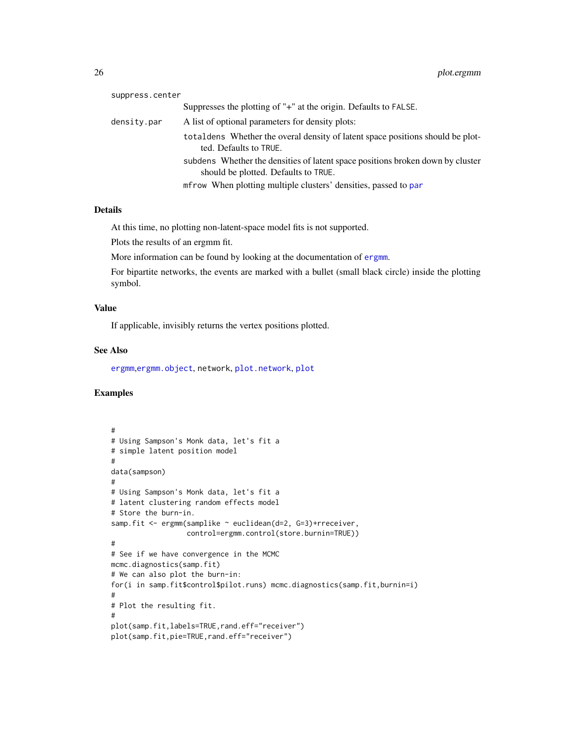<span id="page-25-0"></span>

| suppress.center |                                                                                                                        |
|-----------------|------------------------------------------------------------------------------------------------------------------------|
|                 | Suppresses the plotting of "+" at the origin. Defaults to FALSE.                                                       |
| density.par     | A list of optional parameters for density plots:                                                                       |
|                 | total densemble whether the overal density of latent space positions should be plot-<br>ted. Defaults to TRUE.         |
|                 | subdens Whether the densities of latent space positions broken down by cluster<br>should be plotted. Defaults to TRUE. |
|                 | mfrow When plotting multiple clusters' densities, passed to par                                                        |

# Details

At this time, no plotting non-latent-space model fits is not supported.

Plots the results of an ergmm fit.

More information can be found by looking at the documentation of [ergmm](#page-7-1).

For bipartite networks, the events are marked with a bullet (small black circle) inside the plotting symbol.

# Value

If applicable, invisibly returns the vertex positions plotted.

# See Also

[ergmm](#page-7-1),[ergmm.object](#page-10-1), network, [plot.network](#page-0-0), [plot](#page-0-0)

# Examples

```
#
# Using Sampson's Monk data, let's fit a
# simple latent position model
#
data(sampson)
#
# Using Sampson's Monk data, let's fit a
# latent clustering random effects model
# Store the burn-in.
samp.fit <- ergmm(samplike ~ euclidean(d=2, G=3)+rreceiver,
                  control=ergmm.control(store.burnin=TRUE))
#
# See if we have convergence in the MCMC
mcmc.diagnostics(samp.fit)
# We can also plot the burn-in:
for(i in samp.fit$control$pilot.runs) mcmc.diagnostics(samp.fit,burnin=i)
#
# Plot the resulting fit.
#
plot(samp.fit,labels=TRUE,rand.eff="receiver")
plot(samp.fit,pie=TRUE,rand.eff="receiver")
```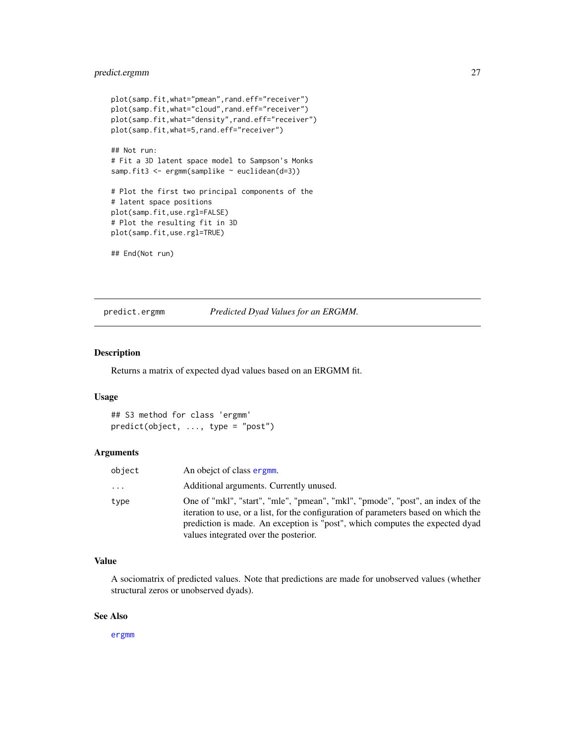# <span id="page-26-0"></span>predict.ergmm 27

```
plot(samp.fit,what="pmean",rand.eff="receiver")
plot(samp.fit,what="cloud",rand.eff="receiver")
plot(samp.fit,what="density",rand.eff="receiver")
plot(samp.fit,what=5,rand.eff="receiver")
## Not run:
# Fit a 3D latent space model to Sampson's Monks
samp.fit3 <- ergmm(samplike ~ euclidean(d=3))
# Plot the first two principal components of the
# latent space positions
plot(samp.fit,use.rgl=FALSE)
# Plot the resulting fit in 3D
plot(samp.fit,use.rgl=TRUE)
```
## End(Not run)

<span id="page-26-1"></span>predict.ergmm *Predicted Dyad Values for an ERGMM.*

#### Description

Returns a matrix of expected dyad values based on an ERGMM fit.

#### Usage

```
## S3 method for class 'ergmm'
predict(object, ..., type = "post")
```
#### Arguments

| object | An obejet of class ergmm.                                                                                                                                                                                                                                                                      |
|--------|------------------------------------------------------------------------------------------------------------------------------------------------------------------------------------------------------------------------------------------------------------------------------------------------|
| .      | Additional arguments. Currently unused.                                                                                                                                                                                                                                                        |
| type   | One of "mkl", "start", "mle", "pmean", "mkl", "pmode", "post", an index of the<br>iteration to use, or a list, for the configuration of parameters based on which the<br>prediction is made. An exception is "post", which computes the expected dyad<br>values integrated over the posterior. |

# Value

A sociomatrix of predicted values. Note that predictions are made for unobserved values (whether structural zeros or unobserved dyads).

# See Also

[ergmm](#page-10-1)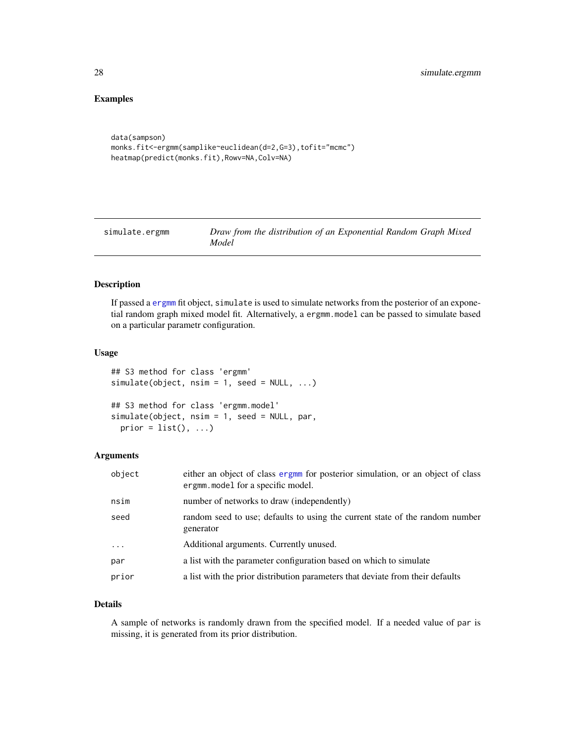# Examples

```
data(sampson)
monks.fit<-ergmm(samplike~euclidean(d=2,G=3),tofit="mcmc")
heatmap(predict(monks.fit),Rowv=NA,Colv=NA)
```
<span id="page-27-1"></span>

| simulate.ergmm | Draw from the distribution of an Exponential Random Graph Mixed |  |
|----------------|-----------------------------------------------------------------|--|
|                | Model                                                           |  |

# Description

If passed a [ergmm](#page-10-1) fit object, simulate is used to simulate networks from the posterior of an exponetial random graph mixed model fit. Alternatively, a ergmm.model can be passed to simulate based on a particular parametr configuration.

### Usage

```
## S3 method for class 'ergmm'
simulate(object, nsim = 1, seed = NULL, ...)
## S3 method for class 'ergmm.model'
simulate(object, nsim = 1, seed = NULL, par,
 prior = list(), ...)
```
#### Arguments

| object   | either an object of class ergmm for posterior simulation, or an object of class<br>ergmm. model for a specific model. |
|----------|-----------------------------------------------------------------------------------------------------------------------|
| nsim     | number of networks to draw (independently)                                                                            |
| seed     | random seed to use; defaults to using the current state of the random number<br>generator                             |
| $\cdots$ | Additional arguments. Currently unused.                                                                               |
| par      | a list with the parameter configuration based on which to simulate                                                    |
| prior    | a list with the prior distribution parameters that deviate from their defaults                                        |

# Details

A sample of networks is randomly drawn from the specified model. If a needed value of par is missing, it is generated from its prior distribution.

<span id="page-27-0"></span>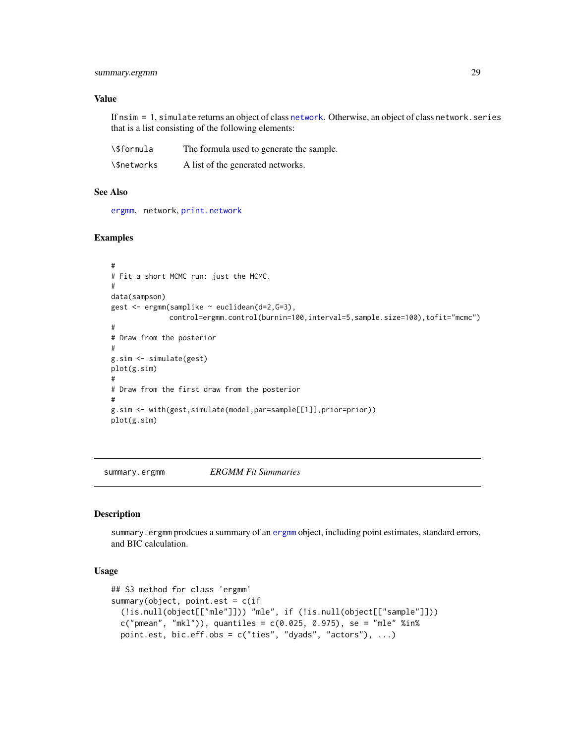# <span id="page-28-0"></span>summary.ergmm 29

#### Value

If nsim = 1, simulate returns an object of class [network](#page-0-0). Otherwise, an object of class network.series that is a list consisting of the following elements:

| ∖\$formula  | The formula used to generate the sample. |
|-------------|------------------------------------------|
| \\$networks | A list of the generated networks.        |

# See Also

[ergmm](#page-7-1), network, [print.network](#page-0-0)

#### Examples

```
#
# Fit a short MCMC run: just the MCMC.
#
data(sampson)
gest <- ergmm(samplike ~ euclidean(d=2,G=3),
              control=ergmm.control(burnin=100,interval=5,sample.size=100),tofit="mcmc")
#
# Draw from the posterior
#
g.sim <- simulate(gest)
plot(g.sim)
#
# Draw from the first draw from the posterior
#
g.sim <- with(gest,simulate(model,par=sample[[1]],prior=prior))
plot(g.sim)
```
<span id="page-28-1"></span>summary.ergmm *ERGMM Fit Summaries*

#### <span id="page-28-2"></span>Description

summary.ergmm prodcues a summary of an [ergmm](#page-10-1) object, including point estimates, standard errors, and BIC calculation.

#### Usage

```
## S3 method for class 'ergmm'
summary(object, point.est = c(if
  (!is.null(object[["mle"]])) "mle", if (!is.null(object[["sample"]]))
 c("pmean", "mk1")), quantiles = c(0.025, 0.975), se = "mle" %in%
 point.est, bic.eff.obs = c("ties", "dyads", "actors"), ...)
```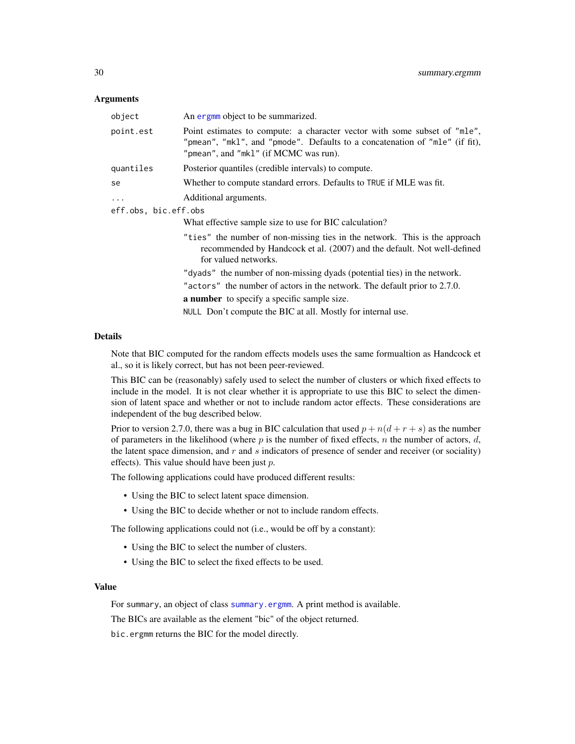#### <span id="page-29-0"></span>Arguments

| object               | An ergmm object to be summarized.                                                                                                                                                                 |
|----------------------|---------------------------------------------------------------------------------------------------------------------------------------------------------------------------------------------------|
| point.est            | Point estimates to compute: a character vector with some subset of "mle",<br>"pmean", "mkl", and "pmode". Defaults to a concatenation of "mle" (if fit),<br>"pmean", and "mkl" (if MCMC was run). |
| quantiles            | Posterior quantiles (credible intervals) to compute.                                                                                                                                              |
| se                   | Whether to compute standard errors. Defaults to TRUE if MLE was fit.                                                                                                                              |
| $\ddots$             | Additional arguments.                                                                                                                                                                             |
| eff.obs, bic.eff.obs |                                                                                                                                                                                                   |
|                      | What effective sample size to use for BIC calculation?                                                                                                                                            |
|                      | "ties" the number of non-missing ties in the network. This is the approach<br>recommended by Handcock et al. (2007) and the default. Not well-defined<br>for valued networks.                     |
|                      | "dyads" the number of non-missing dyads (potential ties) in the network.                                                                                                                          |
|                      | "actors" the number of actors in the network. The default prior to 2.7.0.                                                                                                                         |
|                      | <b>a number</b> to specify a specific sample size.                                                                                                                                                |
|                      | NULL Don't compute the BIC at all. Mostly for internal use.                                                                                                                                       |

# Details

Note that BIC computed for the random effects models uses the same formualtion as Handcock et al., so it is likely correct, but has not been peer-reviewed.

This BIC can be (reasonably) safely used to select the number of clusters or which fixed effects to include in the model. It is not clear whether it is appropriate to use this BIC to select the dimension of latent space and whether or not to include random actor effects. These considerations are independent of the bug described below.

Prior to version 2.7.0, there was a bug in BIC calculation that used  $p + n(d + r + s)$  as the number of parameters in the likelihood (where  $p$  is the number of fixed effects,  $n$  the number of actors,  $d$ , the latent space dimension, and  $r$  and  $s$  indicators of presence of sender and receiver (or sociality) effects). This value should have been just  $p$ .

The following applications could have produced different results:

- Using the BIC to select latent space dimension.
- Using the BIC to decide whether or not to include random effects.

The following applications could not (i.e., would be off by a constant):

- Using the BIC to select the number of clusters.
- Using the BIC to select the fixed effects to be used.

#### Value

For summary, an object of class [summary.ergmm](#page-28-2). A print method is available.

The BICs are available as the element "bic" of the object returned.

bic.ergmm returns the BIC for the model directly.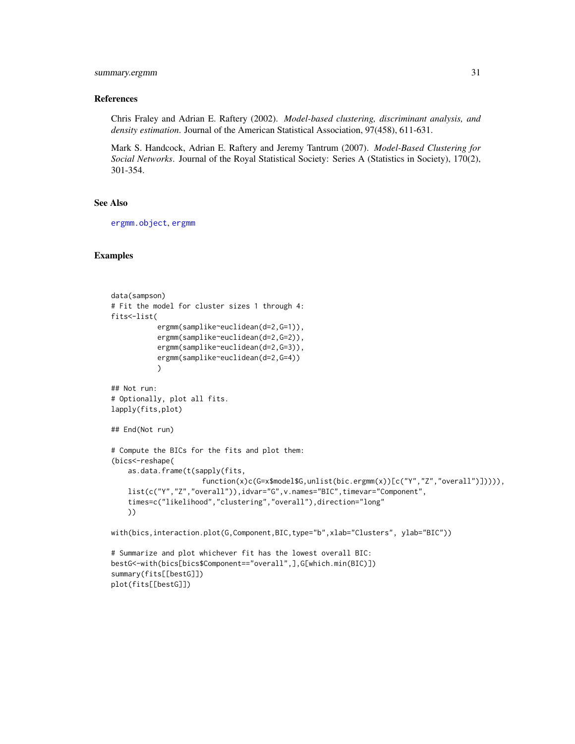# <span id="page-30-0"></span>summary.ergmm 31

#### References

Chris Fraley and Adrian E. Raftery (2002). *Model-based clustering, discriminant analysis, and density estimation*. Journal of the American Statistical Association, 97(458), 611-631.

Mark S. Handcock, Adrian E. Raftery and Jeremy Tantrum (2007). *Model-Based Clustering for Social Networks*. Journal of the Royal Statistical Society: Series A (Statistics in Society), 170(2), 301-354.

# See Also

[ergmm.object](#page-10-1), [ergmm](#page-7-1)

summary(fits[[bestG]]) plot(fits[[bestG]])

#### Examples

```
data(sampson)
# Fit the model for cluster sizes 1 through 4:
fits<-list(
           ergmm(samplike~euclidean(d=2,G=1)),
           ergmm(samplike~euclidean(d=2,G=2)),
           ergmm(samplike~euclidean(d=2,G=3)),
           ergmm(samplike~euclidean(d=2,G=4))
           )
## Not run:
# Optionally, plot all fits.
lapply(fits,plot)
## End(Not run)
# Compute the BICs for the fits and plot them:
(bics<-reshape(
    as.data.frame(t(sapply(fits,
                     function(x)c(G=x$model$G,unlist(bic.ergmm(x))[c("Y","Z","overall")])))),
   list(c("Y","Z","overall")),idvar="G",v.names="BIC",timevar="Component",
    times=c("likelihood","clustering","overall"),direction="long"
    ))
with(bics,interaction.plot(G,Component,BIC,type="b",xlab="Clusters", ylab="BIC"))
# Summarize and plot whichever fit has the lowest overall BIC:
bestG<-with(bics[bics$Component=="overall",],G[which.min(BIC)])
```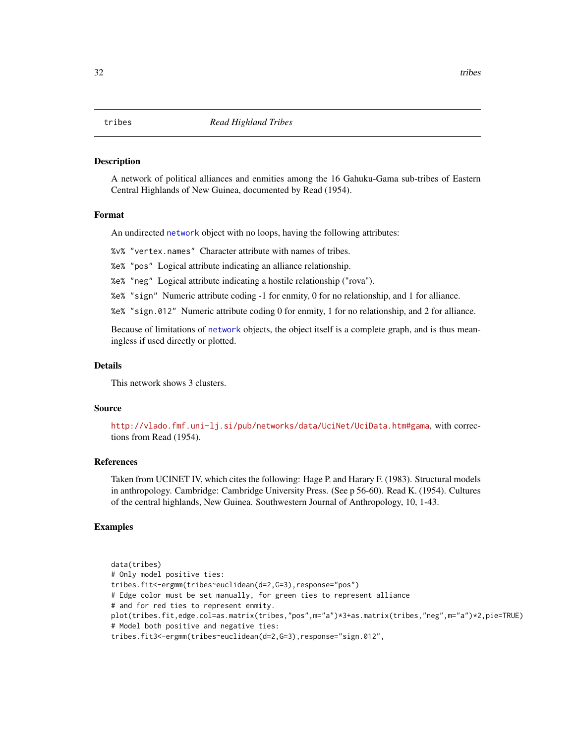#### <span id="page-31-0"></span>Description

A network of political alliances and enmities among the 16 Gahuku-Gama sub-tribes of Eastern Central Highlands of New Guinea, documented by Read (1954).

#### Format

An undirected [network](#page-0-0) object with no loops, having the following attributes:

%v% "vertex.names" Character attribute with names of tribes.

%e% "pos" Logical attribute indicating an alliance relationship.

%e% "neg" Logical attribute indicating a hostile relationship ("rova").

%e% "sign" Numeric attribute coding -1 for enmity, 0 for no relationship, and 1 for alliance.

%e% "sign.012" Numeric attribute coding 0 for enmity, 1 for no relationship, and 2 for alliance.

Because of limitations of [network](#page-0-0) objects, the object itself is a complete graph, and is thus meaningless if used directly or plotted.

#### **Details**

This network shows 3 clusters.

#### Source

<http://vlado.fmf.uni-lj.si/pub/networks/data/UciNet/UciData.htm#gama>, with corrections from Read (1954).

#### References

Taken from UCINET IV, which cites the following: Hage P. and Harary F. (1983). Structural models in anthropology. Cambridge: Cambridge University Press. (See p 56-60). Read K. (1954). Cultures of the central highlands, New Guinea. Southwestern Journal of Anthropology, 10, 1-43.

#### Examples

data(tribes) # Only model positive ties: tribes.fit<-ergmm(tribes~euclidean(d=2,G=3),response="pos") # Edge color must be set manually, for green ties to represent alliance # and for red ties to represent enmity. plot(tribes.fit,edge.col=as.matrix(tribes,"pos",m="a")\*3+as.matrix(tribes,"neg",m="a")\*2,pie=TRUE) # Model both positive and negative ties: tribes.fit3<-ergmm(tribes~euclidean(d=2,G=3),response="sign.012",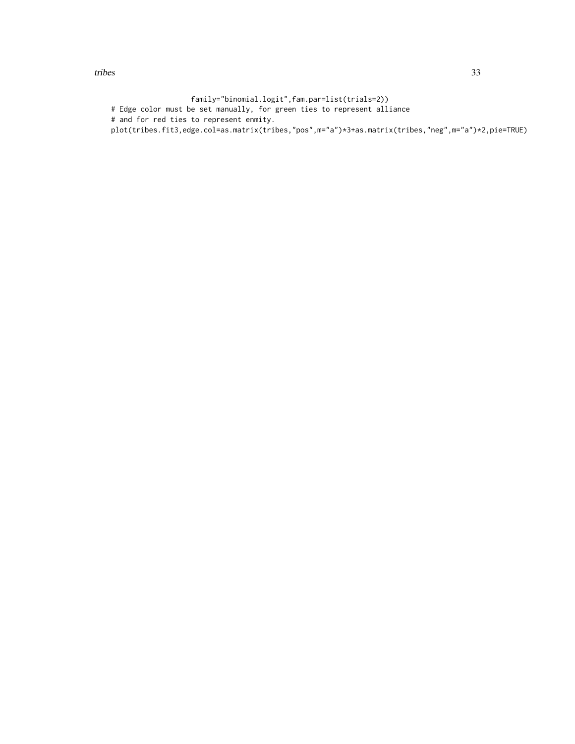#### tribes 33

family="binomial.logit",fam.par=list(trials=2))

# Edge color must be set manually, for green ties to represent alliance

- # and for red ties to represent enmity.
- plot(tribes.fit3,edge.col=as.matrix(tribes,"pos",m="a")\*3+as.matrix(tribes,"neg",m="a")\*2,pie=TRUE)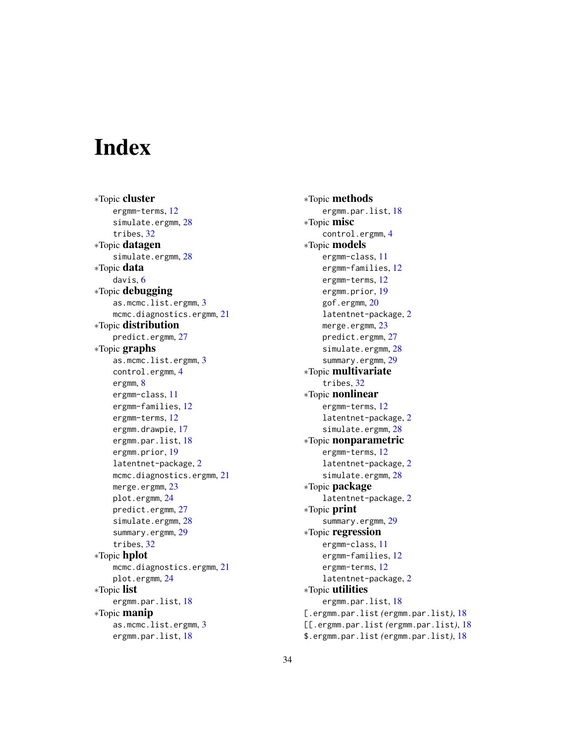# <span id="page-33-0"></span>**Index**

∗Topic cluster ergmm-terms, [12](#page-11-0) simulate.ergmm, [28](#page-27-0) tribes, [32](#page-31-0) ∗Topic datagen simulate.ergmm, [28](#page-27-0) ∗Topic data davis, [6](#page-5-0) ∗Topic debugging as.mcmc.list.ergmm, [3](#page-2-0) mcmc.diagnostics.ergmm, [21](#page-20-0) ∗Topic distribution predict.ergmm, [27](#page-26-0) ∗Topic graphs as.mcmc.list.ergmm, [3](#page-2-0) control.ergmm, [4](#page-3-0) ergmm, [8](#page-7-0) ergmm-class, [11](#page-10-0) ergmm-families, [12](#page-11-0) ergmm-terms, [12](#page-11-0) ergmm.drawpie, [17](#page-16-0) ergmm.par.list, [18](#page-17-0) ergmm.prior, [19](#page-18-0) latentnet-package, [2](#page-1-0) mcmc.diagnostics.ergmm, [21](#page-20-0) merge.ergmm, [23](#page-22-0) plot.ergmm, [24](#page-23-0) predict.ergmm, [27](#page-26-0) simulate.ergmm, [28](#page-27-0) summary.ergmm, [29](#page-28-0) tribes, [32](#page-31-0) ∗Topic hplot mcmc.diagnostics.ergmm, [21](#page-20-0) plot.ergmm, [24](#page-23-0) ∗Topic list ergmm.par.list, [18](#page-17-0) ∗Topic manip as.mcmc.list.ergmm, [3](#page-2-0) ergmm.par.list, [18](#page-17-0)

∗Topic methods ergmm.par.list, [18](#page-17-0) ∗Topic misc control.ergmm, [4](#page-3-0) ∗Topic models ergmm-class, [11](#page-10-0) ergmm-families, [12](#page-11-0) ergmm-terms, [12](#page-11-0) ergmm.prior, [19](#page-18-0) gof.ergmm, [20](#page-19-0) latentnet-package, [2](#page-1-0) merge.ergmm, [23](#page-22-0) predict.ergmm, [27](#page-26-0) simulate.ergmm, [28](#page-27-0) summary.ergmm, [29](#page-28-0) ∗Topic multivariate tribes, [32](#page-31-0) ∗Topic nonlinear ergmm-terms, [12](#page-11-0) latentnet-package, [2](#page-1-0) simulate.ergmm, [28](#page-27-0) ∗Topic nonparametric ergmm-terms, [12](#page-11-0) latentnet-package, [2](#page-1-0) simulate.ergmm, [28](#page-27-0) ∗Topic package latentnet-package, [2](#page-1-0) ∗Topic print summary.ergmm, [29](#page-28-0) ∗Topic regression ergmm-class, [11](#page-10-0) ergmm-families, [12](#page-11-0) ergmm-terms, [12](#page-11-0) latentnet-package, [2](#page-1-0) ∗Topic utilities ergmm.par.list, [18](#page-17-0) [.ergmm.par.list *(*ergmm.par.list*)*, [18](#page-17-0) [[.ergmm.par.list *(*ergmm.par.list*)*, [18](#page-17-0) \$.ergmm.par.list *(*ergmm.par.list*)*, [18](#page-17-0)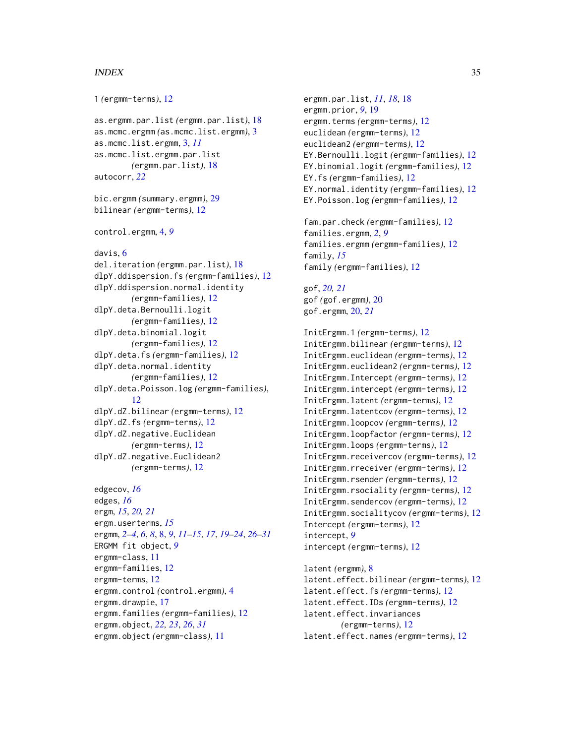#### INDEX 35

```
1 (ergmm-terms), 12
as.ergmm.par.list (ergmm.par.list), 18
as.mcmc.ergmm (as.mcmc.list.ergmm), 3
as.mcmc.list.ergmm, 3, 11
as.mcmc.list.ergmm.par.list
        (ergmm.par.list), 18
autocorr, 22
bic.ergmm (summary.ergmm), 29
bilinear (ergmm-terms), 12
control.ergmm, 4, 9
davis, 6
del.iteration (ergmm.par.list), 18
dlpY.ddispersion.fs (ergmm-families), 12
dlpY.ddispersion.normal.identity
        (ergmm-families), 12
dlpY.deta.Bernoulli.logit
        (ergmm-families), 12
dlpY.deta.binomial.logit
        (ergmm-families), 12
dlpY.deta.fs (ergmm-families), 12
dlpY.deta.normal.identity
        (ergmm-families), 12
dlpY.deta.Poisson.log (ergmm-families),
        12
dlpY.dZ.bilinear (ergmm-terms), 12
dlpY.dZ.fs (ergmm-terms), 12
dlpY.dZ.negative.Euclidean
        (ergmm-terms), 12
dlpY.dZ.negative.Euclidean2
        (ergmm-terms), 12
edgecov, 16
edges, 16
ergm, 15, 20, 21
ergm.userterms, 15
ergmm, 2–4, 6, 8, 8, 9, 11–15, 17, 19–24, 26–31
ERGMM fit object, 9
ergmm-class, 11
ergmm-families, 12
ergmm-terms, 12
ergmm.control (control.ergmm), 4
ergmm.drawpie, 17
ergmm.families (ergmm-families), 12
ergmm.object, 22, 23, 26, 31
```
ergmm.object *(*ergmm-class*)*, [11](#page-10-0)

ergmm.par.list, *[11](#page-10-0)*, *[18](#page-17-0)*, [18](#page-17-0) ergmm.prior, *[9](#page-8-0)*, [19](#page-18-0) ergmm.terms *(*ergmm-terms*)*, [12](#page-11-0) euclidean *(*ergmm-terms*)*, [12](#page-11-0) euclidean2 *(*ergmm-terms*)*, [12](#page-11-0) EY.Bernoulli.logit *(*ergmm-families*)*, [12](#page-11-0) EY.binomial.logit *(*ergmm-families*)*, [12](#page-11-0) EY.fs *(*ergmm-families*)*, [12](#page-11-0) EY.normal.identity *(*ergmm-families*)*, [12](#page-11-0) EY.Poisson.log *(*ergmm-families*)*, [12](#page-11-0)

fam.par.check *(*ergmm-families*)*, [12](#page-11-0) families.ergmm, *[2](#page-1-0)*, *[9](#page-8-0)* families.ergmm *(*ergmm-families*)*, [12](#page-11-0) family, *[15](#page-14-0)* family *(*ergmm-families*)*, [12](#page-11-0)

gof, *[20,](#page-19-0) [21](#page-20-0)* gof *(*gof.ergmm*)*, [20](#page-19-0) gof.ergmm, [20,](#page-19-0) *[21](#page-20-0)*

```
InitErgmm.1 (ergmm-terms), 12
InitErgmm.bilinear (ergmm-terms), 12
InitErgmm.euclidean (ergmm-terms), 12
InitErgmm.euclidean2 (ergmm-terms), 12
InitErgmm.Intercept (ergmm-terms), 12
InitErgmm.intercept (ergmm-terms), 12
InitErgmm.latent (ergmm-terms), 12
InitErgmm.latentcov (ergmm-terms), 12
InitErgmm.loopcov (ergmm-terms), 12
InitErgmm.loopfactor (ergmm-terms), 12
InitErgmm.loops (ergmm-terms), 12
InitErgmm.receivercov (ergmm-terms), 12
InitErgmm.rreceiver (ergmm-terms), 12
InitErgmm.rsender (ergmm-terms), 12
InitErgmm.rsociality (ergmm-terms), 12
InitErgmm.sendercov (ergmm-terms), 12
InitErgmm.socialitycov (ergmm-terms), 12
Intercept (ergmm-terms), 12
intercept, 9
intercept (ergmm-terms), 12
```
latent *(*ergmm*)*, [8](#page-7-0) latent.effect.bilinear *(*ergmm-terms*)*, [12](#page-11-0) latent.effect.fs *(*ergmm-terms*)*, [12](#page-11-0) latent.effect.IDs *(*ergmm-terms*)*, [12](#page-11-0) latent.effect.invariances *(*ergmm-terms*)*, [12](#page-11-0) latent.effect.names *(*ergmm-terms*)*, [12](#page-11-0)